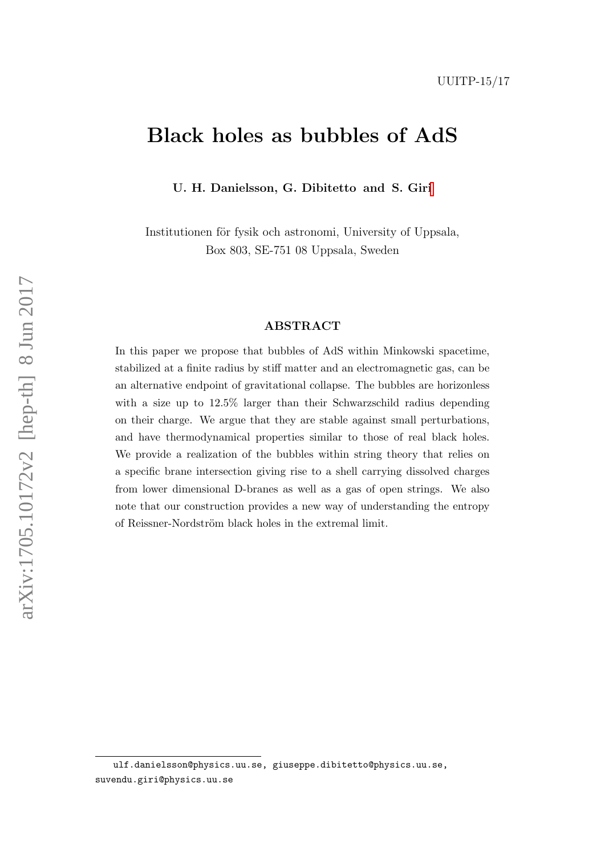# Black holes as bubbles of AdS

U. H. Danielsson, G. Dibitetto and S. Gir[i](#page-0-0)

Institutionen för fysik och astronomi, University of Uppsala, Box 803, SE-751 08 Uppsala, Sweden

#### ABSTRACT

In this paper we propose that bubbles of AdS within Minkowski spacetime, stabilized at a finite radius by stiff matter and an electromagnetic gas, can be an alternative endpoint of gravitational collapse. The bubbles are horizonless with a size up to  $12.5\%$  larger than their Schwarzschild radius depending on their charge. We argue that they are stable against small perturbations, and have thermodynamical properties similar to those of real black holes. We provide a realization of the bubbles within string theory that relies on a specific brane intersection giving rise to a shell carrying dissolved charges from lower dimensional D-branes as well as a gas of open strings. We also note that our construction provides a new way of understanding the entropy of Reissner-Nordström black holes in the extremal limit.

<span id="page-0-0"></span>ulf.danielsson@physics.uu.se, giuseppe.dibitetto@physics.uu.se, suvendu.giri@physics.uu.se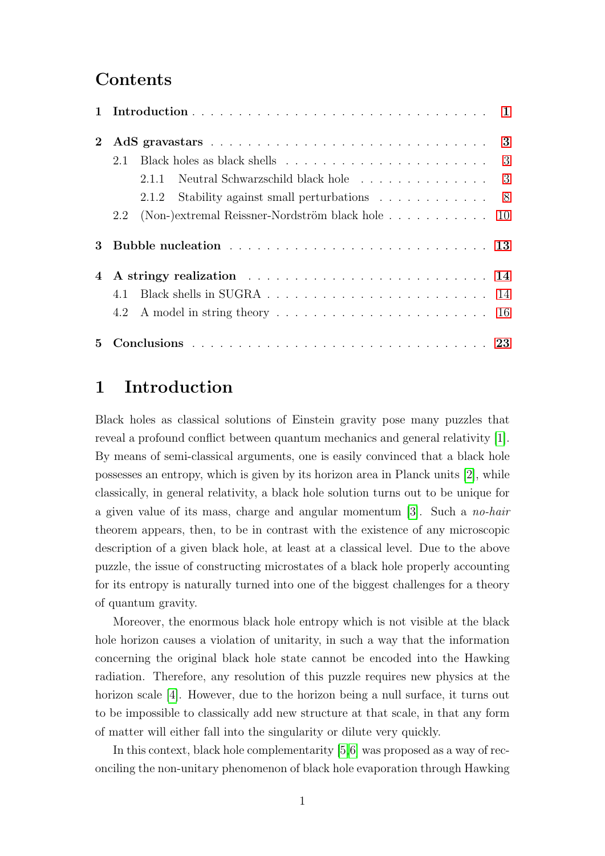### Contents

| $\mathbf{2}$ |     |                                                                               |  |  |  |  |  |  |  |  |  |  |
|--------------|-----|-------------------------------------------------------------------------------|--|--|--|--|--|--|--|--|--|--|
|              | 2.1 |                                                                               |  |  |  |  |  |  |  |  |  |  |
|              |     | Neutral Schwarzschild black hole 3<br>2.1.1                                   |  |  |  |  |  |  |  |  |  |  |
|              |     | Stability against small perturbations 8<br>2.1.2                              |  |  |  |  |  |  |  |  |  |  |
|              | 2.2 | (Non-)extremal Reissner-Nordström black hole $\ldots \ldots \ldots \ldots$ 10 |  |  |  |  |  |  |  |  |  |  |
| 3            |     |                                                                               |  |  |  |  |  |  |  |  |  |  |
| 4            |     |                                                                               |  |  |  |  |  |  |  |  |  |  |
|              | 41  |                                                                               |  |  |  |  |  |  |  |  |  |  |
|              |     |                                                                               |  |  |  |  |  |  |  |  |  |  |
| 5.           |     |                                                                               |  |  |  |  |  |  |  |  |  |  |

## <span id="page-1-0"></span>1 Introduction

Black holes as classical solutions of Einstein gravity pose many puzzles that reveal a profound conflict between quantum mechanics and general relativity [\[1\]](#page-24-0). By means of semi-classical arguments, one is easily convinced that a black hole possesses an entropy, which is given by its horizon area in Planck units [\[2\]](#page-24-1), while classically, in general relativity, a black hole solution turns out to be unique for a given value of its mass, charge and angular momentum [\[3\]](#page-24-2). Such a no-hair theorem appears, then, to be in contrast with the existence of any microscopic description of a given black hole, at least at a classical level. Due to the above puzzle, the issue of constructing microstates of a black hole properly accounting for its entropy is naturally turned into one of the biggest challenges for a theory of quantum gravity.

Moreover, the enormous black hole entropy which is not visible at the black hole horizon causes a violation of unitarity, in such a way that the information concerning the original black hole state cannot be encoded into the Hawking radiation. Therefore, any resolution of this puzzle requires new physics at the horizon scale [\[4\]](#page-24-3). However, due to the horizon being a null surface, it turns out to be impossible to classically add new structure at that scale, in that any form of matter will either fall into the singularity or dilute very quickly.

In this context, black hole complementarity [\[5,](#page-25-0)[6\]](#page-25-1) was proposed as a way of reconciling the non-unitary phenomenon of black hole evaporation through Hawking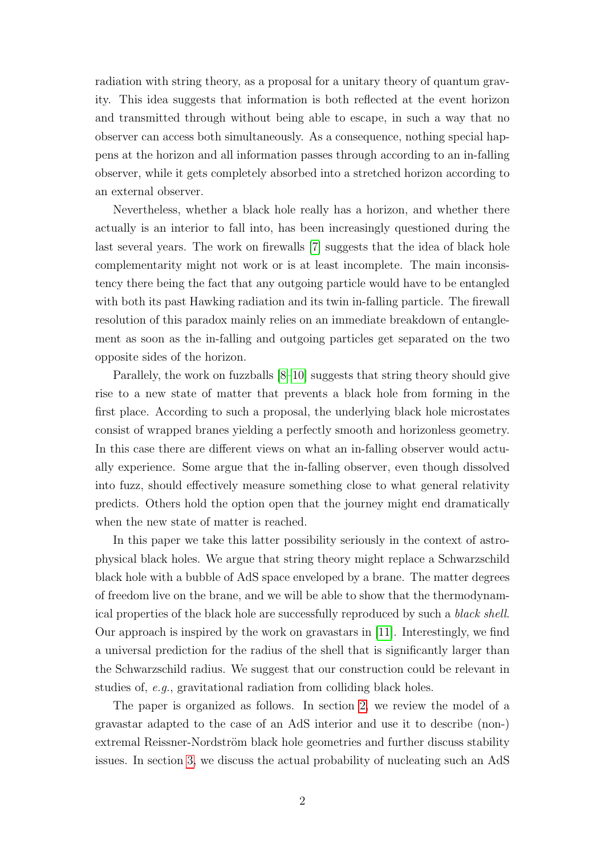radiation with string theory, as a proposal for a unitary theory of quantum gravity. This idea suggests that information is both reflected at the event horizon and transmitted through without being able to escape, in such a way that no observer can access both simultaneously. As a consequence, nothing special happens at the horizon and all information passes through according to an in-falling observer, while it gets completely absorbed into a stretched horizon according to an external observer.

Nevertheless, whether a black hole really has a horizon, and whether there actually is an interior to fall into, has been increasingly questioned during the last several years. The work on firewalls [\[7\]](#page-25-2) suggests that the idea of black hole complementarity might not work or is at least incomplete. The main inconsistency there being the fact that any outgoing particle would have to be entangled with both its past Hawking radiation and its twin in-falling particle. The firewall resolution of this paradox mainly relies on an immediate breakdown of entanglement as soon as the in-falling and outgoing particles get separated on the two opposite sides of the horizon.

Parallely, the work on fuzzballs [\[8–](#page-25-3)[10\]](#page-25-4) suggests that string theory should give rise to a new state of matter that prevents a black hole from forming in the first place. According to such a proposal, the underlying black hole microstates consist of wrapped branes yielding a perfectly smooth and horizonless geometry. In this case there are different views on what an in-falling observer would actually experience. Some argue that the in-falling observer, even though dissolved into fuzz, should effectively measure something close to what general relativity predicts. Others hold the option open that the journey might end dramatically when the new state of matter is reached.

In this paper we take this latter possibility seriously in the context of astrophysical black holes. We argue that string theory might replace a Schwarzschild black hole with a bubble of AdS space enveloped by a brane. The matter degrees of freedom live on the brane, and we will be able to show that the thermodynamical properties of the black hole are successfully reproduced by such a black shell. Our approach is inspired by the work on gravastars in [\[11\]](#page-25-5). Interestingly, we find a universal prediction for the radius of the shell that is significantly larger than the Schwarzschild radius. We suggest that our construction could be relevant in studies of, e.g., gravitational radiation from colliding black holes.

The paper is organized as follows. In section [2,](#page-3-0) we review the model of a gravastar adapted to the case of an AdS interior and use it to describe (non-) extremal Reissner-Nordström black hole geometries and further discuss stability issues. In section [3,](#page-13-0) we discuss the actual probability of nucleating such an AdS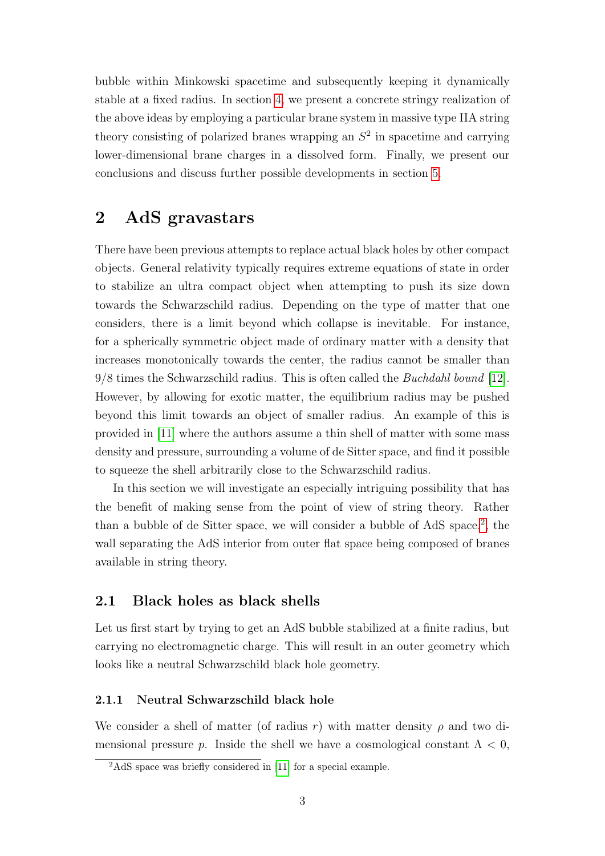bubble within Minkowski spacetime and subsequently keeping it dynamically stable at a fixed radius. In section [4,](#page-14-0) we present a concrete stringy realization of the above ideas by employing a particular brane system in massive type IIA string theory consisting of polarized branes wrapping an  $S<sup>2</sup>$  in spacetime and carrying lower-dimensional brane charges in a dissolved form. Finally, we present our conclusions and discuss further possible developments in section [5.](#page-23-0)

### <span id="page-3-0"></span>2 AdS gravastars

There have been previous attempts to replace actual black holes by other compact objects. General relativity typically requires extreme equations of state in order to stabilize an ultra compact object when attempting to push its size down towards the Schwarzschild radius. Depending on the type of matter that one considers, there is a limit beyond which collapse is inevitable. For instance, for a spherically symmetric object made of ordinary matter with a density that increases monotonically towards the center, the radius cannot be smaller than 9/8 times the Schwarzschild radius. This is often called the Buchdahl bound [\[12\]](#page-25-6). However, by allowing for exotic matter, the equilibrium radius may be pushed beyond this limit towards an object of smaller radius. An example of this is provided in [\[11\]](#page-25-5) where the authors assume a thin shell of matter with some mass density and pressure, surrounding a volume of de Sitter space, and find it possible to squeeze the shell arbitrarily close to the Schwarzschild radius.

In this section we will investigate an especially intriguing possibility that has the benefit of making sense from the point of view of string theory. Rather than a bubble of de Sitter space, we will consider a bubble of AdS space.<sup>[2](#page-3-3)</sup>, the wall separating the AdS interior from outer flat space being composed of branes available in string theory.

#### <span id="page-3-1"></span>2.1 Black holes as black shells

Let us first start by trying to get an AdS bubble stabilized at a finite radius, but carrying no electromagnetic charge. This will result in an outer geometry which looks like a neutral Schwarzschild black hole geometry.

#### <span id="page-3-2"></span>2.1.1 Neutral Schwarzschild black hole

We consider a shell of matter (of radius r) with matter density  $\rho$  and two dimensional pressure p. Inside the shell we have a cosmological constant  $\Lambda < 0$ ,

<span id="page-3-3"></span><sup>2</sup>AdS space was briefly considered in [\[11\]](#page-25-5) for a special example.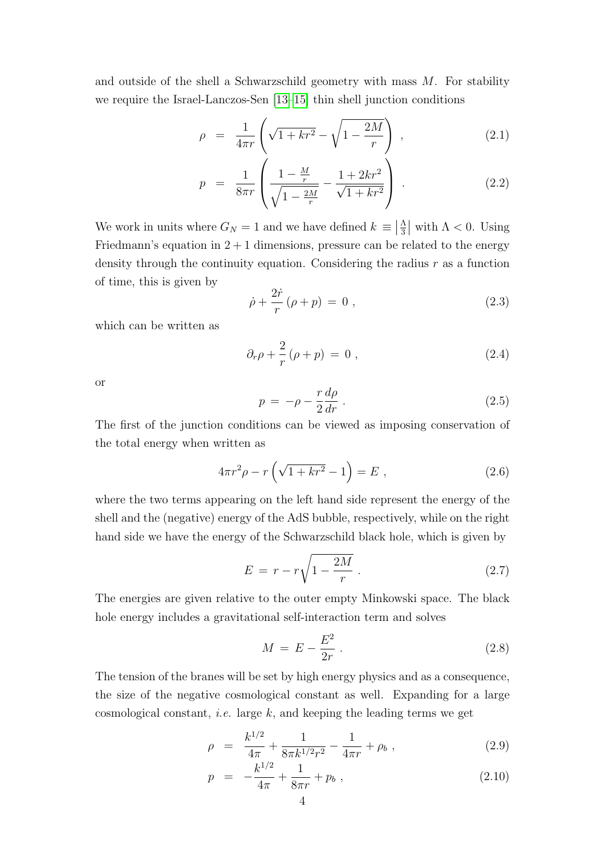and outside of the shell a Schwarzschild geometry with mass  $M$ . For stability we require the Israel-Lanczos-Sen [\[13](#page-25-7)[–15\]](#page-25-8) thin shell junction conditions

<span id="page-4-0"></span>
$$
\rho = \frac{1}{4\pi r} \left( \sqrt{1 + kr^2} - \sqrt{1 - \frac{2M}{r}} \right) , \qquad (2.1)
$$

$$
p = \frac{1}{8\pi r} \left( \frac{1 - \frac{M}{r}}{\sqrt{1 - \frac{2M}{r}}} - \frac{1 + 2kr^2}{\sqrt{1 + kr^2}} \right) . \tag{2.2}
$$

We work in units where  $G_N = 1$  and we have defined  $k \equiv \left| \frac{\Lambda}{3} \right|$  $\frac{\Lambda}{3}$  with  $\Lambda < 0$ . Using Friedmann's equation in  $2 + 1$  dimensions, pressure can be related to the energy density through the continuity equation. Considering the radius  $r$  as a function of time, this is given by

<span id="page-4-2"></span>
$$
\dot{\rho} + \frac{2\dot{r}}{r} (\rho + p) = 0 , \qquad (2.3)
$$

which can be written as

$$
\partial_r \rho + \frac{2}{r} (\rho + p) = 0 , \qquad (2.4)
$$

or

$$
p = -\rho - \frac{r}{2}\frac{d\rho}{dr} \,. \tag{2.5}
$$

The first of the junction conditions can be viewed as imposing conservation of the total energy when written as

$$
4\pi r^2 \rho - r \left( \sqrt{1 + kr^2} - 1 \right) = E , \qquad (2.6)
$$

where the two terms appearing on the left hand side represent the energy of the shell and the (negative) energy of the AdS bubble, respectively, while on the right hand side we have the energy of the Schwarzschild black hole, which is given by

<span id="page-4-1"></span>
$$
E = r - r\sqrt{1 - \frac{2M}{r}} \tag{2.7}
$$

The energies are given relative to the outer empty Minkowski space. The black hole energy includes a gravitational self-interaction term and solves

$$
M = E - \frac{E^2}{2r} \ . \tag{2.8}
$$

The tension of the branes will be set by high energy physics and as a consequence, the size of the negative cosmological constant as well. Expanding for a large cosmological constant, *i.e.* large  $k$ , and keeping the leading terms we get

$$
\rho = \frac{k^{1/2}}{4\pi} + \frac{1}{8\pi k^{1/2}r^2} - \frac{1}{4\pi r} + \rho_b , \qquad (2.9)
$$

$$
p = -\frac{k^{1/2}}{4\pi} + \frac{1}{8\pi r} + p_b , \qquad (2.10)
$$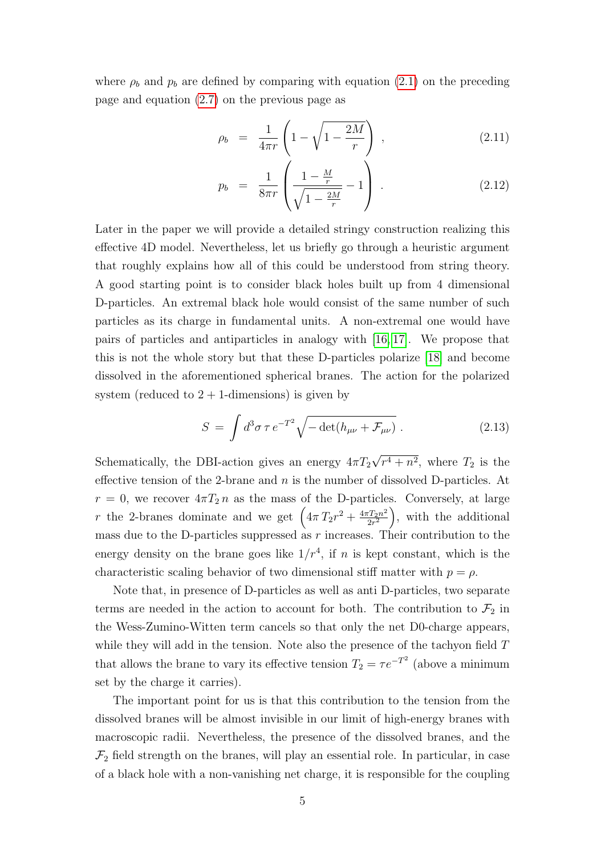where  $\rho_b$  and  $p_b$  are defined by comparing with equation [\(2.1\)](#page-4-0) on the preceding page and equation [\(2.7\)](#page-4-1) on the previous page as

$$
\rho_b = \frac{1}{4\pi r} \left( 1 - \sqrt{1 - \frac{2M}{r}} \right) , \qquad (2.11)
$$

$$
p_b = \frac{1}{8\pi r} \left( \frac{1 - \frac{M}{r}}{\sqrt{1 - \frac{2M}{r}}} - 1 \right) . \tag{2.12}
$$

Later in the paper we will provide a detailed stringy construction realizing this effective 4D model. Nevertheless, let us briefly go through a heuristic argument that roughly explains how all of this could be understood from string theory. A good starting point is to consider black holes built up from 4 dimensional D-particles. An extremal black hole would consist of the same number of such particles as its charge in fundamental units. A non-extremal one would have pairs of particles and antiparticles in analogy with [\[16,](#page-25-9) [17\]](#page-25-10). We propose that this is not the whole story but that these D-particles polarize [\[18\]](#page-25-11) and become dissolved in the aforementioned spherical branes. The action for the polarized system (reduced to  $2 + 1$ -dimensions) is given by

$$
S = \int d^3\sigma \,\tau \, e^{-T^2} \sqrt{-\det(h_{\mu\nu} + \mathcal{F}_{\mu\nu})} \,. \tag{2.13}
$$

Schematically, the DBI-action gives an energy  $4\pi T_2$ √  $(r^4+n^2, \text{ where } T_2 \text{ is the})$ effective tension of the 2-brane and  $n$  is the number of dissolved D-particles. At  $r = 0$ , we recover  $4\pi T_2 n$  as the mass of the D-particles. Conversely, at large r the 2-branes dominate and we get  $\left(4\pi T_2r^2 + \frac{4\pi T_2n^2}{2r^2}\right)$  $\left(\frac{T_2 n^2}{2r^2}\right)$ , with the additional mass due to the D-particles suppressed as  $r$  increases. Their contribution to the energy density on the brane goes like  $1/r<sup>4</sup>$ , if n is kept constant, which is the characteristic scaling behavior of two dimensional stiff matter with  $p = \rho$ .

Note that, in presence of D-particles as well as anti D-particles, two separate terms are needed in the action to account for both. The contribution to  $\mathcal{F}_2$  in the Wess-Zumino-Witten term cancels so that only the net D0-charge appears, while they will add in the tension. Note also the presence of the tachyon field  $T$ that allows the brane to vary its effective tension  $T_2 = \tau e^{-T^2}$  (above a minimum set by the charge it carries).

The important point for us is that this contribution to the tension from the dissolved branes will be almost invisible in our limit of high-energy branes with macroscopic radii. Nevertheless, the presence of the dissolved branes, and the  $\mathcal{F}_2$  field strength on the branes, will play an essential role. In particular, in case of a black hole with a non-vanishing net charge, it is responsible for the coupling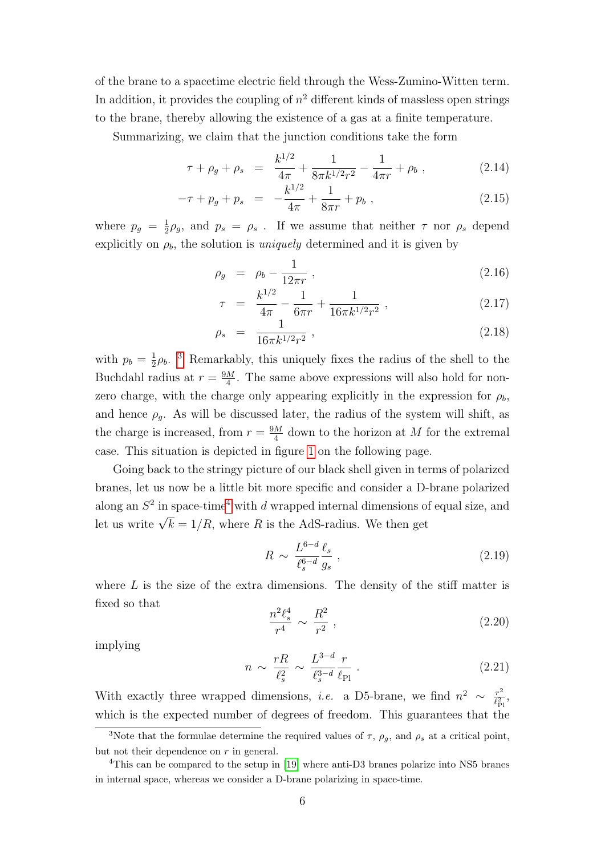of the brane to a spacetime electric field through the Wess-Zumino-Witten term. In addition, it provides the coupling of  $n^2$  different kinds of massless open strings to the brane, thereby allowing the existence of a gas at a finite temperature.

Summarizing, we claim that the junction conditions take the form

$$
\tau + \rho_g + \rho_s = \frac{k^{1/2}}{4\pi} + \frac{1}{8\pi k^{1/2}r^2} - \frac{1}{4\pi r} + \rho_b , \qquad (2.14)
$$

$$
-\tau + p_g + p_s = -\frac{k^{1/2}}{4\pi} + \frac{1}{8\pi r} + p_b , \qquad (2.15)
$$

where  $p_g = \frac{1}{2}$  $\frac{1}{2}\rho_g$ , and  $p_s = \rho_s$ . If we assume that neither  $\tau$  nor  $\rho_s$  depend explicitly on  $\rho_b$ , the solution is *uniquely* determined and it is given by

<span id="page-6-2"></span>
$$
\rho_g = \rho_b - \frac{1}{12\pi r} \,, \tag{2.16}
$$

$$
\tau = \frac{k^{1/2}}{4\pi} - \frac{1}{6\pi r} + \frac{1}{16\pi k^{1/2} r^2} \,, \tag{2.17}
$$

$$
\rho_s = \frac{1}{16\pi k^{1/2}r^2} \,, \tag{2.18}
$$

with  $p_b = \frac{1}{2}$  $\frac{1}{2}\rho_b$ .<sup>[3](#page-6-0)</sup> Remarkably, this uniquely fixes the radius of the shell to the Buchdahl radius at  $r = \frac{9M}{4}$  $\frac{M}{4}$ . The same above expressions will also hold for nonzero charge, with the charge only appearing explicitly in the expression for  $\rho_b$ , and hence  $\rho_g$ . As will be discussed later, the radius of the system will shift, as the charge is increased, from  $r = \frac{9M}{4}$  $\frac{M}{4}$  down to the horizon at M for the extremal case. This situation is depicted in figure [1](#page-7-0) on the following page.

Going back to the stringy picture of our black shell given in terms of polarized branes, let us now be a little bit more specific and consider a D-brane polarized along an  $S^2$  in space-time<sup>[4](#page-6-1)</sup> with d wrapped internal dimensions of equal size, and Let us write  $\sqrt{k} = 1/R$ , where R is the AdS-radius. We then get

$$
R \sim \frac{L^{6-d} \ell_s}{\ell_s^{6-d} g_s} , \qquad (2.19)
$$

where  $L$  is the size of the extra dimensions. The density of the stiff matter is fixed so that

$$
\frac{n^2 \ell_s^4}{r^4} \sim \frac{R^2}{r^2} \,, \tag{2.20}
$$

implying

$$
n \sim \frac{rR}{\ell_s^2} \sim \frac{L^{3-d}}{\ell_s^{3-d}} \frac{r}{\ell_{\text{Pl}}} \,. \tag{2.21}
$$

With exactly three wrapped dimensions, *i.e.* a D5-brane, we find  $n^2 \sim \frac{r^2}{\ell^2}$  $rac{r^2}{\ell_{\rm Pl}^2},$ which is the expected number of degrees of freedom. This guarantees that the

<span id="page-6-0"></span><sup>&</sup>lt;sup>3</sup>Note that the formulae determine the required values of  $\tau$ ,  $\rho_g$ , and  $\rho_s$  at a critical point, but not their dependence on  $r$  in general.

<span id="page-6-1"></span><sup>&</sup>lt;sup>4</sup>This can be compared to the setup in [\[19\]](#page-25-12) where anti-D3 branes polarize into NS5 branes in internal space, whereas we consider a D-brane polarizing in space-time.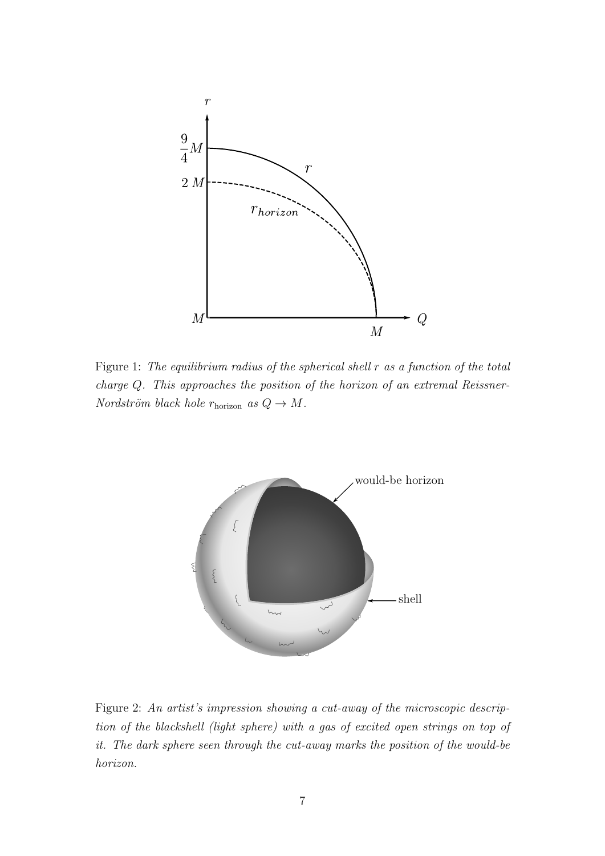

<span id="page-7-0"></span>Figure 1: The equilibrium radius of the spherical shell r as a function of the total charge Q. This approaches the position of the horizon of an extremal Reissner-Nordström black hole  $r_{\text{horizon}}$  as  $Q \to M$ .



<span id="page-7-1"></span>Figure 2: An artist's impression showing a cut-away of the microscopic description of the blackshell (light sphere) with a gas of excited open strings on top of it. The dark sphere seen through the cut-away marks the position of the would-be horizon.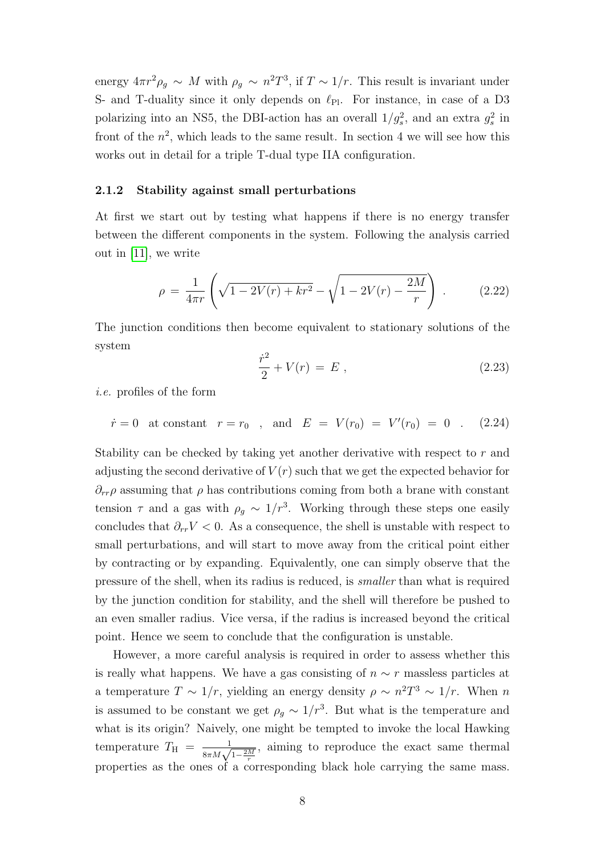energy  $4\pi r^2 \rho_g \sim M$  with  $\rho_g \sim n^2 T^3$ , if  $T \sim 1/r$ . This result is invariant under S- and T-duality since it only depends on  $\ell_{\text{Pl}}$ . For instance, in case of a D3 polarizing into an NS5, the DBI-action has an overall  $1/g_s^2$ , and an extra  $g_s^2$  in front of the  $n^2$ , which leads to the same result. In section 4 we will see how this works out in detail for a triple T-dual type IIA configuration.

#### <span id="page-8-0"></span>2.1.2 Stability against small perturbations

At first we start out by testing what happens if there is no energy transfer between the different components in the system. Following the analysis carried out in [\[11\]](#page-25-5), we write

$$
\rho = \frac{1}{4\pi r} \left( \sqrt{1 - 2V(r) + kr^2} - \sqrt{1 - 2V(r) - \frac{2M}{r}} \right) . \tag{2.22}
$$

The junction conditions then become equivalent to stationary solutions of the system

$$
\frac{\dot{r}^2}{2} + V(r) = E \tag{2.23}
$$

i.e. profiles of the form

 $\dot{r} = 0$  at constant  $r = r_0$ , and  $E = V(r_0) = V'(r_0) = 0$ . (2.24)

Stability can be checked by taking yet another derivative with respect to r and adjusting the second derivative of  $V(r)$  such that we get the expected behavior for  $\partial_{rr}\rho$  assuming that  $\rho$  has contributions coming from both a brane with constant tension  $\tau$  and a gas with  $\rho_g \sim 1/r^3$ . Working through these steps one easily concludes that  $\partial_{rr}V < 0$ . As a consequence, the shell is unstable with respect to small perturbations, and will start to move away from the critical point either by contracting or by expanding. Equivalently, one can simply observe that the pressure of the shell, when its radius is reduced, is smaller than what is required by the junction condition for stability, and the shell will therefore be pushed to an even smaller radius. Vice versa, if the radius is increased beyond the critical point. Hence we seem to conclude that the configuration is unstable.

However, a more careful analysis is required in order to assess whether this is really what happens. We have a gas consisting of  $n \sim r$  massless particles at a temperature  $T \sim 1/r$ , yielding an energy density  $\rho \sim n^2T^3 \sim 1/r$ . When n is assumed to be constant we get  $\rho_g \sim 1/r^3$ . But what is the temperature and what is its origin? Naively, one might be tempted to invoke the local Hawking temperature  $T_{\rm H} = \frac{1}{8\pi M \sqrt{1-\frac{2M}{r}}}$ , aiming to reproduce the exact same thermal properties as the ones of a corresponding black hole carrying the same mass.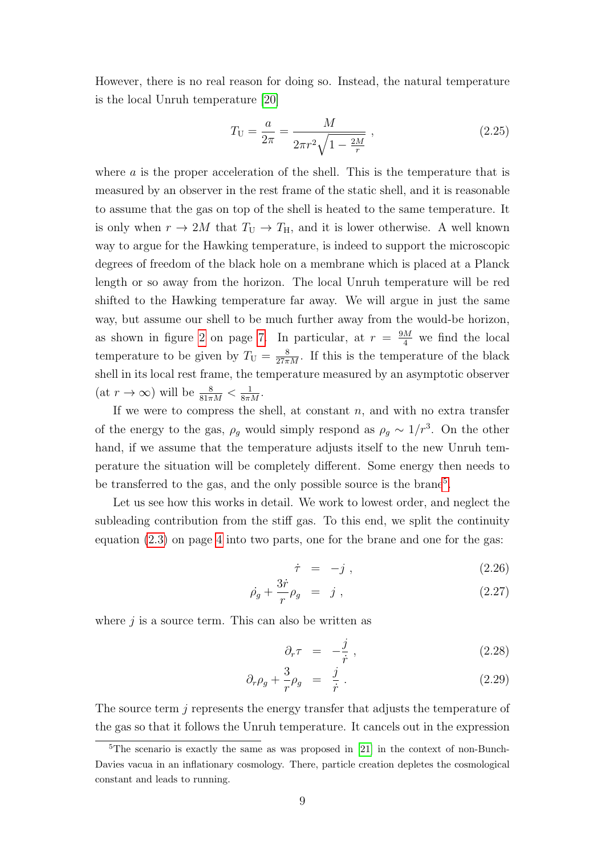However, there is no real reason for doing so. Instead, the natural temperature is the local Unruh temperature [\[20\]](#page-25-13)

$$
T_{\rm U} = \frac{a}{2\pi} = \frac{M}{2\pi r^2 \sqrt{1 - \frac{2M}{r}}},\qquad(2.25)
$$

where  $a$  is the proper acceleration of the shell. This is the temperature that is measured by an observer in the rest frame of the static shell, and it is reasonable to assume that the gas on top of the shell is heated to the same temperature. It is only when  $r \to 2M$  that  $T_U \to T_H$ , and it is lower otherwise. A well known way to argue for the Hawking temperature, is indeed to support the microscopic degrees of freedom of the black hole on a membrane which is placed at a Planck length or so away from the horizon. The local Unruh temperature will be red shifted to the Hawking temperature far away. We will argue in just the same way, but assume our shell to be much further away from the would-be horizon, as shown in figure [2](#page-7-1) on page [7.](#page-7-1) In particular, at  $r = \frac{9M}{4}$  we find the local temperature to be given by  $T_U = \frac{8}{27\pi M}$ . If this is the temperature of the black shell in its local rest frame, the temperature measured by an asymptotic observer  $(\text{at } r \to \infty)$  will be  $\frac{8}{81\pi M} < \frac{1}{8\pi M}$ .

If we were to compress the shell, at constant  $n$ , and with no extra transfer of the energy to the gas,  $\rho_g$  would simply respond as  $\rho_g \sim 1/r^3$ . On the other hand, if we assume that the temperature adjusts itself to the new Unruh temperature the situation will be completely different. Some energy then needs to be transferred to the gas, and the only possible source is the brane<sup>[5](#page-9-0)</sup>.

Let us see how this works in detail. We work to lowest order, and neglect the subleading contribution from the stiff gas. To this end, we split the continuity equation  $(2.3)$  on page [4](#page-4-2) into two parts, one for the brane and one for the gas:

$$
\dot{\tau} = -j , \qquad (2.26)
$$

$$
\dot{\rho_g} + \frac{3\dot{r}}{r} \rho_g = j , \qquad (2.27)
$$

where  $j$  is a source term. This can also be written as

$$
\partial_r \tau = -\frac{j}{\dot{r}}, \qquad (2.28)
$$

$$
\partial_r \rho_g + \frac{3}{r} \rho_g = \frac{j}{\dot{r}} \,. \tag{2.29}
$$

The source term j represents the energy transfer that adjusts the temperature of the gas so that it follows the Unruh temperature. It cancels out in the expression

<span id="page-9-0"></span> $5$ The scenario is exactly the same as was proposed in [\[21\]](#page-26-0) in the context of non-Bunch-Davies vacua in an inflationary cosmology. There, particle creation depletes the cosmological constant and leads to running.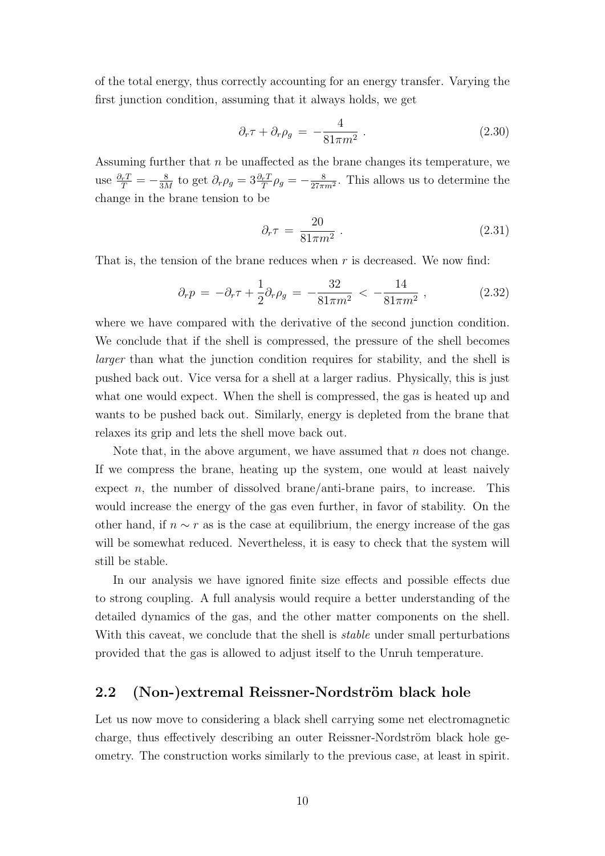of the total energy, thus correctly accounting for an energy transfer. Varying the first junction condition, assuming that it always holds, we get

$$
\partial_r \tau + \partial_r \rho_g = -\frac{4}{81\pi m^2} \,. \tag{2.30}
$$

Assuming further that n be unaffected as the brane changes its temperature, we use  $\frac{\partial_r T}{T} = -\frac{8}{3\Lambda}$  $\frac{8}{3M}$  to get  $\partial_r \rho_g = 3 \frac{\partial_r T}{T} \rho_g = -\frac{8}{27\pi^2}$  $\frac{8}{27\pi m^2}$ . This allows us to determine the change in the brane tension to be

$$
\partial_r \tau = \frac{20}{81\pi m^2} \,. \tag{2.31}
$$

That is, the tension of the brane reduces when  $r$  is decreased. We now find:

$$
\partial_r p = -\partial_r \tau + \frac{1}{2} \partial_r \rho_g = -\frac{32}{81\pi m^2} < -\frac{14}{81\pi m^2} \,, \tag{2.32}
$$

where we have compared with the derivative of the second junction condition. We conclude that if the shell is compressed, the pressure of the shell becomes larger than what the junction condition requires for stability, and the shell is pushed back out. Vice versa for a shell at a larger radius. Physically, this is just what one would expect. When the shell is compressed, the gas is heated up and wants to be pushed back out. Similarly, energy is depleted from the brane that relaxes its grip and lets the shell move back out.

Note that, in the above argument, we have assumed that  $n$  does not change. If we compress the brane, heating up the system, one would at least naively expect n, the number of dissolved brane/anti-brane pairs, to increase. This would increase the energy of the gas even further, in favor of stability. On the other hand, if  $n \sim r$  as is the case at equilibrium, the energy increase of the gas will be somewhat reduced. Nevertheless, it is easy to check that the system will still be stable.

In our analysis we have ignored finite size effects and possible effects due to strong coupling. A full analysis would require a better understanding of the detailed dynamics of the gas, and the other matter components on the shell. With this caveat, we conclude that the shell is *stable* under small perturbations provided that the gas is allowed to adjust itself to the Unruh temperature.

#### <span id="page-10-0"></span>2.2 (Non-)extremal Reissner-Nordström black hole

Let us now move to considering a black shell carrying some net electromagnetic charge, thus effectively describing an outer Reissner-Nordström black hole geometry. The construction works similarly to the previous case, at least in spirit.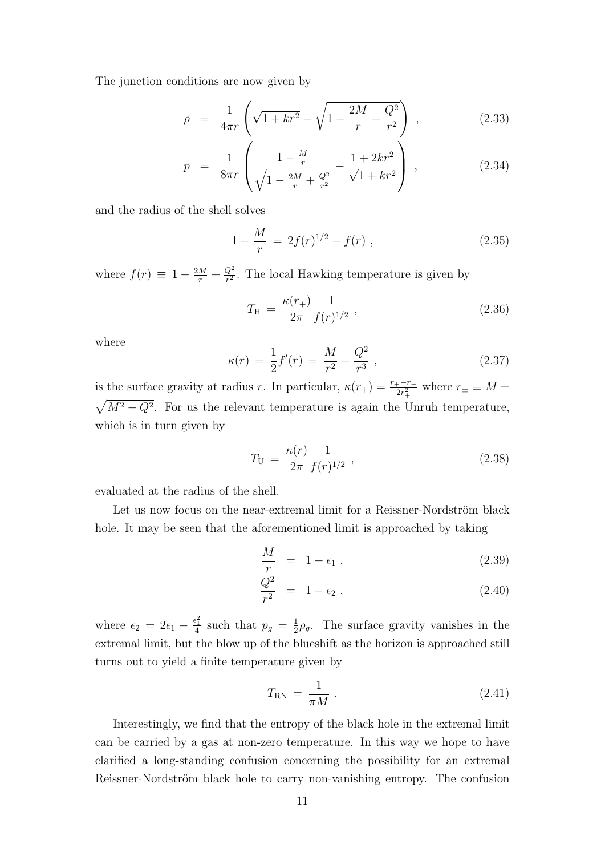The junction conditions are now given by

$$
\rho = \frac{1}{4\pi r} \left( \sqrt{1 + kr^2} - \sqrt{1 - \frac{2M}{r} + \frac{Q^2}{r^2}} \right) , \qquad (2.33)
$$

$$
p = \frac{1}{8\pi r} \left( \frac{1 - \frac{M}{r}}{\sqrt{1 - \frac{2M}{r} + \frac{Q^2}{r^2}}} - \frac{1 + 2kr^2}{\sqrt{1 + kr^2}} \right) ,
$$
 (2.34)

and the radius of the shell solves

$$
1 - \frac{M}{r} = 2f(r)^{1/2} - f(r) , \qquad (2.35)
$$

where  $f(r) \equiv 1 - \frac{2M}{r} + \frac{Q^2}{r^2}$  $\frac{Q^2}{r^2}$ . The local Hawking temperature is given by

$$
T_{\rm H} = \frac{\kappa(r_+)}{2\pi} \frac{1}{f(r)^{1/2}} \,, \tag{2.36}
$$

where

$$
\kappa(r) = \frac{1}{2}f'(r) = \frac{M}{r^2} - \frac{Q^2}{r^3} \,,\tag{2.37}
$$

is the surface gravity at radius r. In particular,  $\kappa(r_+) = \frac{r_+ - r_-}{2r_+^2}$  where  $r_{\pm} \equiv M \pm \frac{1}{2}$  $\sqrt{M^2-Q^2}$ . For us the relevant temperature is again the Unruh temperature, which is in turn given by

$$
T_{\rm U} = \frac{\kappa(r)}{2\pi} \frac{1}{f(r)^{1/2}} \,, \tag{2.38}
$$

evaluated at the radius of the shell.

Let us now focus on the near-extremal limit for a Reissner-Nordström black hole. It may be seen that the aforementioned limit is approached by taking

$$
\frac{M}{r} = 1 - \epsilon_1 , \qquad (2.39)
$$

$$
\frac{Q^2}{r^2} = 1 - \epsilon_2 , \t\t(2.40)
$$

where  $\epsilon_2 = 2\epsilon_1 - \frac{\epsilon_1^2}{4}$  such that  $p_g = \frac{1}{2}$  $\frac{1}{2}\rho_g$ . The surface gravity vanishes in the extremal limit, but the blow up of the blueshift as the horizon is approached still turns out to yield a finite temperature given by

$$
T_{\rm RN} = \frac{1}{\pi M} \,. \tag{2.41}
$$

Interestingly, we find that the entropy of the black hole in the extremal limit can be carried by a gas at non-zero temperature. In this way we hope to have clarified a long-standing confusion concerning the possibility for an extremal Reissner-Nordström black hole to carry non-vanishing entropy. The confusion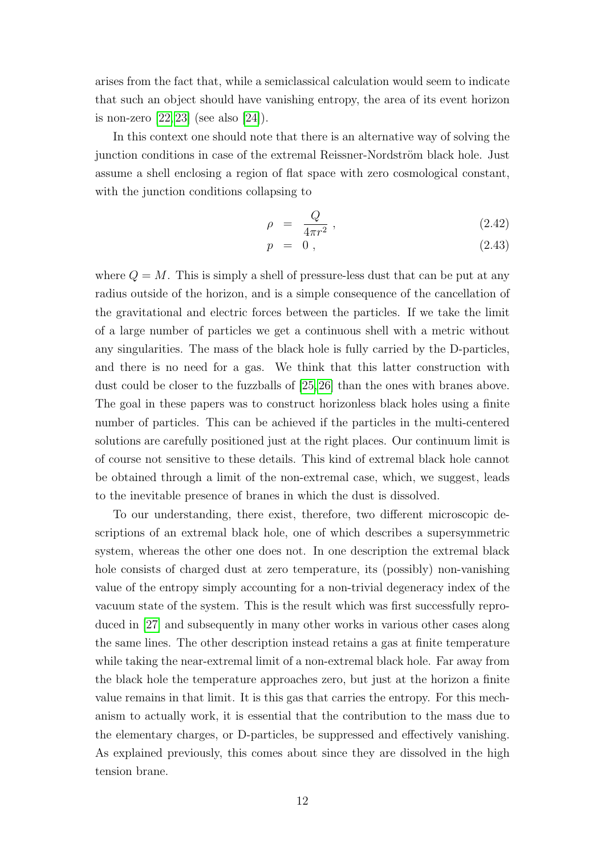arises from the fact that, while a semiclassical calculation would seem to indicate that such an object should have vanishing entropy, the area of its event horizon is non-zero [\[22,](#page-26-1) [23\]](#page-26-2) (see also [\[24\]](#page-26-3)).

In this context one should note that there is an alternative way of solving the junction conditions in case of the extremal Reissner-Nordström black hole. Just assume a shell enclosing a region of flat space with zero cosmological constant, with the junction conditions collapsing to

$$
\rho = \frac{Q}{4\pi r^2} \,, \tag{2.42}
$$

$$
p = 0, \qquad (2.43)
$$

where  $Q = M$ . This is simply a shell of pressure-less dust that can be put at any radius outside of the horizon, and is a simple consequence of the cancellation of the gravitational and electric forces between the particles. If we take the limit of a large number of particles we get a continuous shell with a metric without any singularities. The mass of the black hole is fully carried by the D-particles, and there is no need for a gas. We think that this latter construction with dust could be closer to the fuzzballs of [\[25,](#page-26-4)[26\]](#page-26-5) than the ones with branes above. The goal in these papers was to construct horizonless black holes using a finite number of particles. This can be achieved if the particles in the multi-centered solutions are carefully positioned just at the right places. Our continuum limit is of course not sensitive to these details. This kind of extremal black hole cannot be obtained through a limit of the non-extremal case, which, we suggest, leads to the inevitable presence of branes in which the dust is dissolved.

To our understanding, there exist, therefore, two different microscopic descriptions of an extremal black hole, one of which describes a supersymmetric system, whereas the other one does not. In one description the extremal black hole consists of charged dust at zero temperature, its (possibly) non-vanishing value of the entropy simply accounting for a non-trivial degeneracy index of the vacuum state of the system. This is the result which was first successfully reproduced in [\[27\]](#page-26-6) and subsequently in many other works in various other cases along the same lines. The other description instead retains a gas at finite temperature while taking the near-extremal limit of a non-extremal black hole. Far away from the black hole the temperature approaches zero, but just at the horizon a finite value remains in that limit. It is this gas that carries the entropy. For this mechanism to actually work, it is essential that the contribution to the mass due to the elementary charges, or D-particles, be suppressed and effectively vanishing. As explained previously, this comes about since they are dissolved in the high tension brane.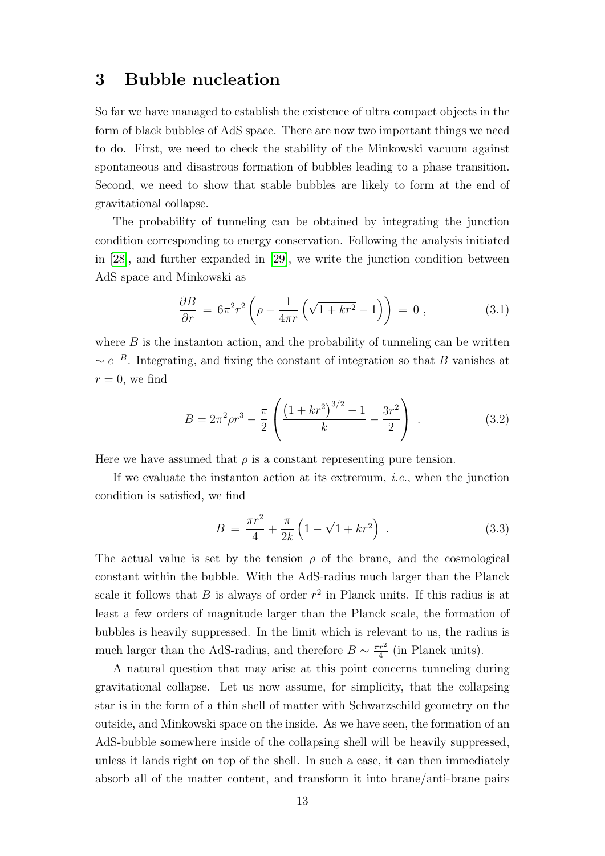### <span id="page-13-0"></span>3 Bubble nucleation

So far we have managed to establish the existence of ultra compact objects in the form of black bubbles of AdS space. There are now two important things we need to do. First, we need to check the stability of the Minkowski vacuum against spontaneous and disastrous formation of bubbles leading to a phase transition. Second, we need to show that stable bubbles are likely to form at the end of gravitational collapse.

The probability of tunneling can be obtained by integrating the junction condition corresponding to energy conservation. Following the analysis initiated in [\[28\]](#page-26-7), and further expanded in [\[29\]](#page-26-8), we write the junction condition between AdS space and Minkowski as

$$
\frac{\partial B}{\partial r} = 6\pi^2 r^2 \left( \rho - \frac{1}{4\pi r} \left( \sqrt{1 + kr^2} - 1 \right) \right) = 0 , \qquad (3.1)
$$

where  $B$  is the instanton action, and the probability of tunneling can be written  $\sim e^{-B}$ . Integrating, and fixing the constant of integration so that B vanishes at  $r = 0$ , we find

$$
B = 2\pi^2 \rho r^3 - \frac{\pi}{2} \left( \frac{\left(1 + kr^2\right)^{3/2} - 1}{k} - \frac{3r^2}{2} \right) \,. \tag{3.2}
$$

Here we have assumed that  $\rho$  is a constant representing pure tension.

If we evaluate the instanton action at its extremum, i.e., when the junction condition is satisfied, we find

$$
B = \frac{\pi r^2}{4} + \frac{\pi}{2k} \left( 1 - \sqrt{1 + kr^2} \right) . \tag{3.3}
$$

The actual value is set by the tension  $\rho$  of the brane, and the cosmological constant within the bubble. With the AdS-radius much larger than the Planck scale it follows that  $B$  is always of order  $r^2$  in Planck units. If this radius is at least a few orders of magnitude larger than the Planck scale, the formation of bubbles is heavily suppressed. In the limit which is relevant to us, the radius is much larger than the AdS-radius, and therefore  $B \sim \frac{\pi r^2}{4}$  $rac{r^2}{4}$  (in Planck units).

A natural question that may arise at this point concerns tunneling during gravitational collapse. Let us now assume, for simplicity, that the collapsing star is in the form of a thin shell of matter with Schwarzschild geometry on the outside, and Minkowski space on the inside. As we have seen, the formation of an AdS-bubble somewhere inside of the collapsing shell will be heavily suppressed, unless it lands right on top of the shell. In such a case, it can then immediately absorb all of the matter content, and transform it into brane/anti-brane pairs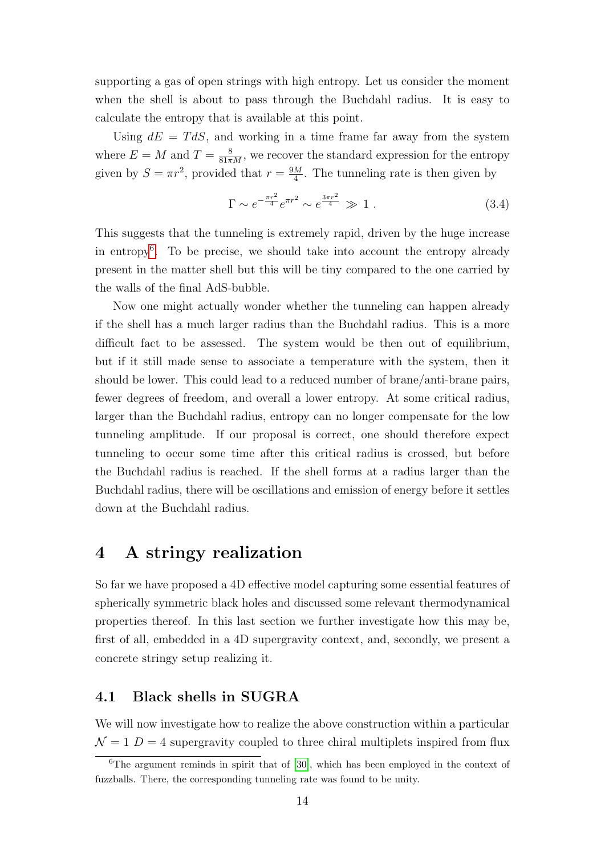supporting a gas of open strings with high entropy. Let us consider the moment when the shell is about to pass through the Buchdahl radius. It is easy to calculate the entropy that is available at this point.

Using  $dE = T dS$ , and working in a time frame far away from the system where  $E = M$  and  $T = \frac{8}{81\pi M}$ , we recover the standard expression for the entropy given by  $S = \pi r^2$ , provided that  $r = \frac{9M}{4}$  $\frac{M}{4}$ . The tunneling rate is then given by

$$
\Gamma \sim e^{-\frac{\pi r^2}{4}} e^{\pi r^2} \sim e^{\frac{3\pi r^2}{4}} \gg 1.
$$
 (3.4)

This suggests that the tunneling is extremely rapid, driven by the huge increase in entropy[6](#page-14-2) . To be precise, we should take into account the entropy already present in the matter shell but this will be tiny compared to the one carried by the walls of the final AdS-bubble.

Now one might actually wonder whether the tunneling can happen already if the shell has a much larger radius than the Buchdahl radius. This is a more difficult fact to be assessed. The system would be then out of equilibrium, but if it still made sense to associate a temperature with the system, then it should be lower. This could lead to a reduced number of brane/anti-brane pairs, fewer degrees of freedom, and overall a lower entropy. At some critical radius, larger than the Buchdahl radius, entropy can no longer compensate for the low tunneling amplitude. If our proposal is correct, one should therefore expect tunneling to occur some time after this critical radius is crossed, but before the Buchdahl radius is reached. If the shell forms at a radius larger than the Buchdahl radius, there will be oscillations and emission of energy before it settles down at the Buchdahl radius.

### <span id="page-14-0"></span>4 A stringy realization

So far we have proposed a 4D effective model capturing some essential features of spherically symmetric black holes and discussed some relevant thermodynamical properties thereof. In this last section we further investigate how this may be, first of all, embedded in a 4D supergravity context, and, secondly, we present a concrete stringy setup realizing it.

#### <span id="page-14-1"></span>4.1 Black shells in SUGRA

We will now investigate how to realize the above construction within a particular  $\mathcal{N}=1$  D = 4 supergravity coupled to three chiral multiplets inspired from flux

<span id="page-14-2"></span> $\overline{6}$ The argument reminds in spirit that of [\[30\]](#page-26-9), which has been employed in the context of fuzzballs. There, the corresponding tunneling rate was found to be unity.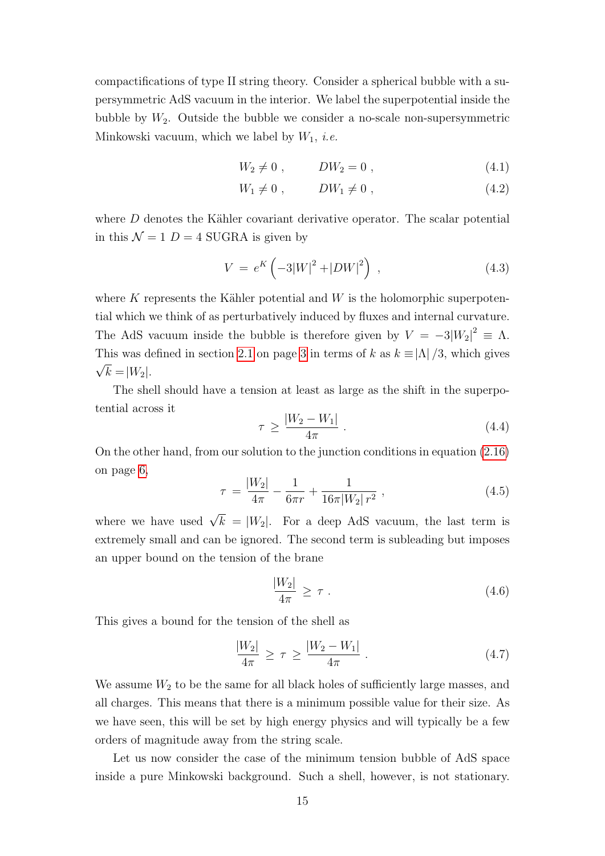compactifications of type II string theory. Consider a spherical bubble with a supersymmetric AdS vacuum in the interior. We label the superpotential inside the bubble by  $W_2$ . Outside the bubble we consider a no-scale non-supersymmetric Minkowski vacuum, which we label by  $W_1$ , *i.e.* 

$$
W_2 \neq 0 , \qquad DW_2 = 0 , \qquad (4.1)
$$

$$
W_1 \neq 0 , \qquad DW_1 \neq 0 , \qquad (4.2)
$$

where  $D$  denotes the Kähler covariant derivative operator. The scalar potential in this  $\mathcal{N} = 1$  D = 4 SUGRA is given by

$$
V = e^{K} \left( -3|W|^{2} + |DW|^{2} \right) , \qquad (4.3)
$$

where K represents the Kähler potential and  $W$  is the holomorphic superpotential which we think of as perturbatively induced by fluxes and internal curvature. The AdS vacuum inside the bubble is therefore given by  $V = -3|W_2|^2 \equiv \Lambda$ . This was defined in section [2.1](#page-3-1) on page [3](#page-3-1) in terms of k as  $k \equiv |\Lambda|/3$ , which gives  $\sqrt{k} = |W_2|$ .

The shell should have a tension at least as large as the shift in the superpotential across it

$$
\tau \ge \frac{|W_2 - W_1|}{4\pi} \,. \tag{4.4}
$$

On the other hand, from our solution to the junction conditions in equation [\(2.16\)](#page-6-2) on page [6,](#page-6-2)

$$
\tau = \frac{|W_2|}{4\pi} - \frac{1}{6\pi r} + \frac{1}{16\pi |W_2| r^2} , \qquad (4.5)
$$

where we have used  $\sqrt{k} = |W_2|$ . For a deep AdS vacuum, the last term is extremely small and can be ignored. The second term is subleading but imposes an upper bound on the tension of the brane

$$
\frac{|W_2|}{4\pi} \ge \tau \tag{4.6}
$$

This gives a bound for the tension of the shell as

$$
\frac{|W_2|}{4\pi} \ge \tau \ge \frac{|W_2 - W_1|}{4\pi} \,. \tag{4.7}
$$

We assume  $W_2$  to be the same for all black holes of sufficiently large masses, and all charges. This means that there is a minimum possible value for their size. As we have seen, this will be set by high energy physics and will typically be a few orders of magnitude away from the string scale.

Let us now consider the case of the minimum tension bubble of AdS space inside a pure Minkowski background. Such a shell, however, is not stationary.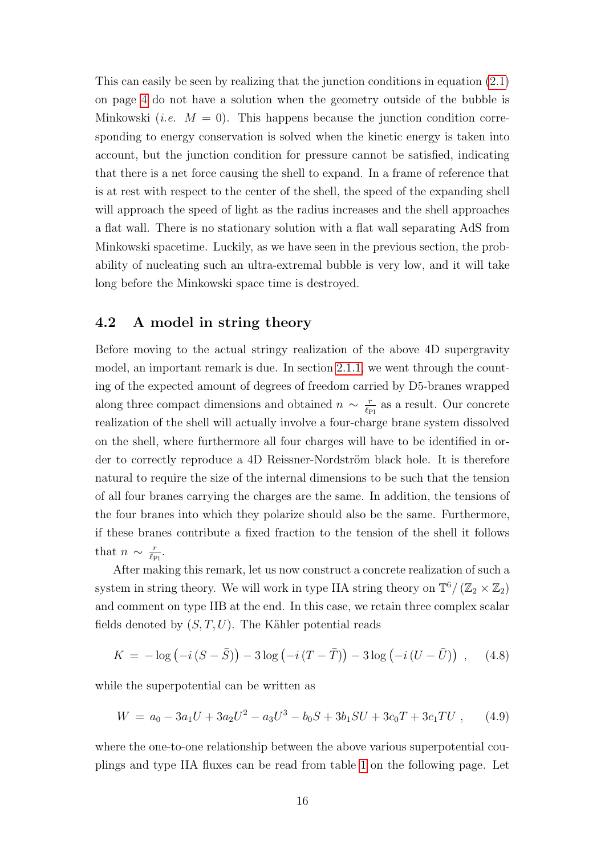This can easily be seen by realizing that the junction conditions in equation [\(2.1\)](#page-4-0) on page [4](#page-4-0) do not have a solution when the geometry outside of the bubble is Minkowski (*i.e.*  $M = 0$ ). This happens because the junction condition corresponding to energy conservation is solved when the kinetic energy is taken into account, but the junction condition for pressure cannot be satisfied, indicating that there is a net force causing the shell to expand. In a frame of reference that is at rest with respect to the center of the shell, the speed of the expanding shell will approach the speed of light as the radius increases and the shell approaches a flat wall. There is no stationary solution with a flat wall separating AdS from Minkowski spacetime. Luckily, as we have seen in the previous section, the probability of nucleating such an ultra-extremal bubble is very low, and it will take long before the Minkowski space time is destroyed.

#### <span id="page-16-0"></span>4.2 A model in string theory

Before moving to the actual stringy realization of the above 4D supergravity model, an important remark is due. In section [2.1.1,](#page-3-2) we went through the counting of the expected amount of degrees of freedom carried by D5-branes wrapped along three compact dimensions and obtained  $n \sim \frac{r}{\ell r}$  $\frac{r}{\ell_{\text{Pl}}}$  as a result. Our concrete realization of the shell will actually involve a four-charge brane system dissolved on the shell, where furthermore all four charges will have to be identified in order to correctly reproduce a 4D Reissner-Nordström black hole. It is therefore natural to require the size of the internal dimensions to be such that the tension of all four branes carrying the charges are the same. In addition, the tensions of the four branes into which they polarize should also be the same. Furthermore, if these branes contribute a fixed fraction to the tension of the shell it follows that  $n \sim \frac{r}{\ell_r}$  $\frac{r}{\ell_{\rm Pl}}$ .

After making this remark, let us now construct a concrete realization of such a system in string theory. We will work in type IIA string theory on  $\mathbb{T}^6 / (\mathbb{Z}_2 \times \mathbb{Z}_2)$ and comment on type IIB at the end. In this case, we retain three complex scalar fields denoted by  $(S, T, U)$ . The Kähler potential reads

$$
K = -\log(-i(S - \bar{S})) - 3\log(-i(T - \bar{T})) - 3\log(-i(U - \bar{U})) , \quad (4.8)
$$

while the superpotential can be written as

$$
W = a_0 - 3a_1U + 3a_2U^2 - a_3U^3 - b_0S + 3b_1SU + 3c_0T + 3c_1TU , \qquad (4.9)
$$

where the one-to-one relationship between the above various superpotential couplings and type IIA fluxes can be read from table [1](#page-17-0) on the following page. Let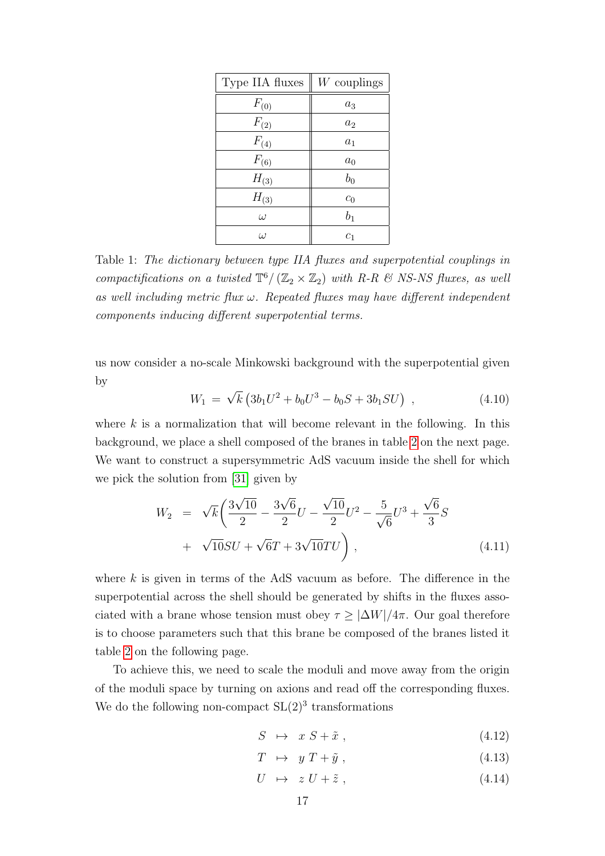| Type IIA fluxes | $W$ couplings      |
|-----------------|--------------------|
| $F_{(0)}$       | $a_3$              |
| $F_{(2)}$       | $a_2$              |
| $F_{(4)}$       | $a_1$              |
| $F_{(6)}$       | $\boldsymbol{a}_0$ |
| $H_{(3)}$       | $b_0$              |
| $H_{(3)}$       | c <sub>0</sub>     |
| $\omega$        | $b_1$              |
| $\iota$         | $c_{1}$            |

<span id="page-17-0"></span>Table 1: The dictionary between type IIA fluxes and superpotential couplings in compactifications on a twisted  $\mathbb{T}^6 / (\mathbb{Z}_2 \times \mathbb{Z}_2)$  with R-R & NS-NS fluxes, as well as well including metric flux  $\omega$ . Repeated fluxes may have different independent components inducing different superpotential terms.

us now consider a no-scale Minkowski background with the superpotential given by √

$$
W_1 = \sqrt{k} \left( 3b_1 U^2 + b_0 U^3 - b_0 S + 3b_1 SU \right) , \qquad (4.10)
$$

where  $k$  is a normalization that will become relevant in the following. In this background, we place a shell composed of the branes in table [2](#page-18-0) on the next page. We want to construct a supersymmetric AdS vacuum inside the shell for which we pick the solution from [\[31\]](#page-26-10) given by

$$
W_2 = \sqrt{k} \left( \frac{3\sqrt{10}}{2} - \frac{3\sqrt{6}}{2} U - \frac{\sqrt{10}}{2} U^2 - \frac{5}{\sqrt{6}} U^3 + \frac{\sqrt{6}}{3} S + \sqrt{10} SU + \sqrt{6} T + 3\sqrt{10} TU \right),
$$
\n(4.11)

where  $k$  is given in terms of the AdS vacuum as before. The difference in the superpotential across the shell should be generated by shifts in the fluxes associated with a brane whose tension must obey  $\tau \geq |\Delta W|/4\pi$ . Our goal therefore is to choose parameters such that this brane be composed of the branes listed it table [2](#page-18-0) on the following page.

To achieve this, we need to scale the moduli and move away from the origin of the moduli space by turning on axions and read off the corresponding fluxes. We do the following non-compact  $SL(2)^3$  transformations

$$
S \rightarrow x \ S + \tilde{x} \ , \tag{4.12}
$$

$$
T \rightarrow y T + \tilde{y} , \qquad (4.13)
$$

$$
U \rightarrow z U + \tilde{z} , \qquad (4.14)
$$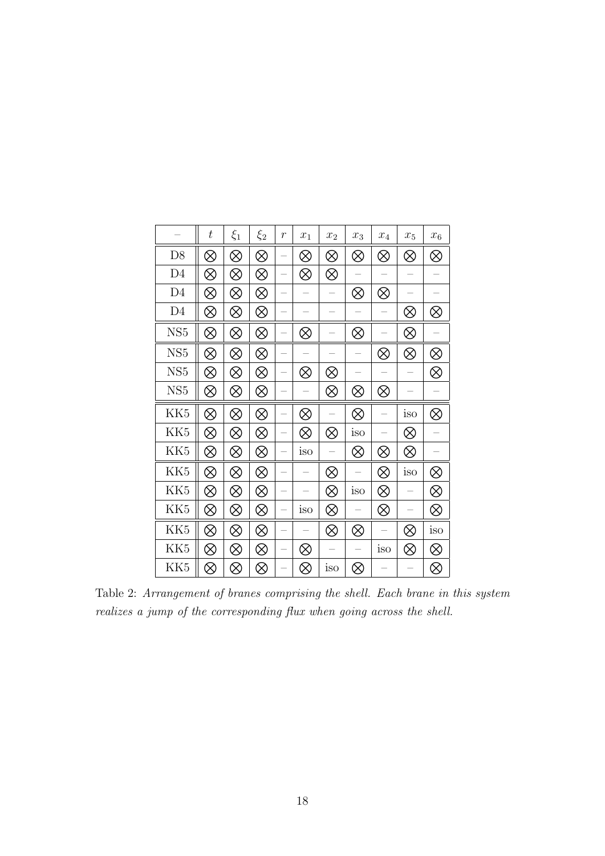|                 | $t\,$     | $\xi_1$   | $\xi_2$   | $\boldsymbol{r}$ | $x_1$     | $x_2$     | $x_3$     | $x_4$     | $x_5$     | $x_6$     |
|-----------------|-----------|-----------|-----------|------------------|-----------|-----------|-----------|-----------|-----------|-----------|
| D <sub>8</sub>  | $\otimes$ | $\otimes$ | $\otimes$ |                  | $\otimes$ | $\otimes$ | ⊗         | ⊗         | $\otimes$ | $\otimes$ |
| D <sub>4</sub>  | $\otimes$ | ⊗         | $\otimes$ |                  | $\otimes$ | $\otimes$ |           |           |           |           |
| D <sub>4</sub>  | $\otimes$ | $\otimes$ | $\otimes$ |                  |           |           | ⊗         | ⊗         |           |           |
| D <sub>4</sub>  | $\otimes$ | ⊗         | ⊗         |                  |           |           |           |           | ⊗         | ⊗         |
| NS <sub>5</sub> | $\otimes$ | $\otimes$ | $\otimes$ |                  | $\otimes$ |           | $\otimes$ |           | $\otimes$ |           |
| NS <sub>5</sub> | ⊗         | ⊗         | ⊗         |                  |           |           |           | ⊗         | $\otimes$ | $\otimes$ |
| NS <sub>5</sub> | $\otimes$ | $\otimes$ | $\otimes$ |                  | ⊗         | ⊗         |           |           |           | $\otimes$ |
| NS <sub>5</sub> | $\otimes$ | $\otimes$ | $\otimes$ |                  |           | $\otimes$ | ⊗         | ⊗         |           |           |
|                 |           |           |           |                  |           |           |           |           |           |           |
| KK <sub>5</sub> | $\otimes$ | ⊗         | $\otimes$ |                  | $\otimes$ |           | ⊗         |           | iso       | $\otimes$ |
| KK <sub>5</sub> | $\otimes$ | $\otimes$ | $\otimes$ |                  | $\otimes$ | $\otimes$ | iso       |           | $\otimes$ |           |
| KK <sub>5</sub> | $\otimes$ | $\otimes$ | $\otimes$ |                  | iso       |           | ⊗         | $\otimes$ | $\otimes$ |           |
| KK <sub>5</sub> | $\otimes$ | ⊗         | ⊗         |                  |           | $\otimes$ |           | ⊗         | iso       | $\otimes$ |
| KK <sub>5</sub> | $\otimes$ | ⊗         | $\otimes$ |                  |           | $\otimes$ | iso       | $\otimes$ |           | $\otimes$ |
| KK <sub>5</sub> | $\otimes$ | ⊗         | $\otimes$ |                  | iso       | $\otimes$ |           | $\otimes$ |           | $\otimes$ |
| KK <sub>5</sub> | ⊗         | ⊗         | ⊗         |                  |           | $\otimes$ | ⊗         |           | ⊗         | iso       |
| KK <sub>5</sub> | $\otimes$ | ⊗         | ⊗         |                  | ⊗         |           |           | iso       | $\otimes$ | $\otimes$ |

<span id="page-18-0"></span>Table 2: Arrangement of branes comprising the shell. Each brane in this system realizes a jump of the corresponding flux when going across the shell.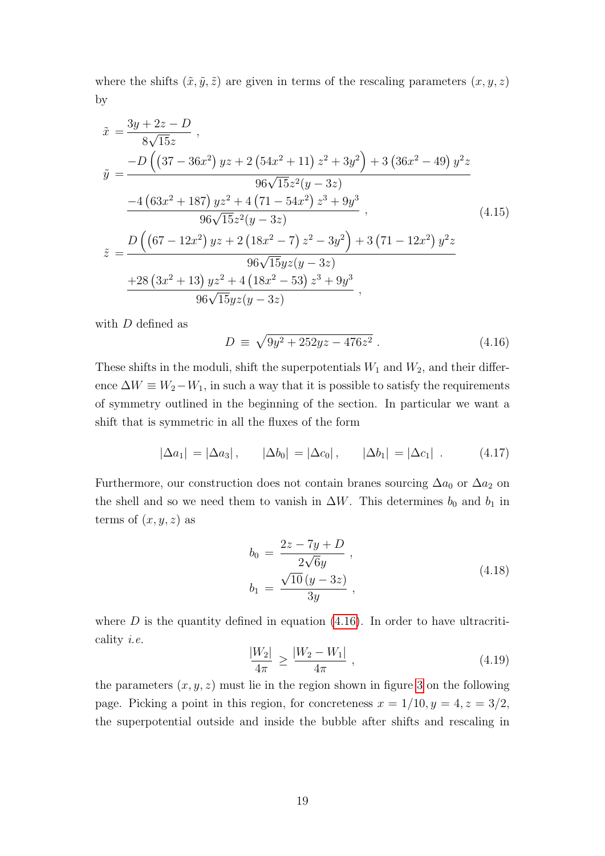where the shifts  $(\tilde{x}, \tilde{y}, \tilde{z})$  are given in terms of the rescaling parameters  $(x, y, z)$ by

$$
\begin{split}\n\tilde{x} &= \frac{3y + 2z - D}{8\sqrt{15}z} \,, \\
\tilde{y} &= \frac{-D\left((37 - 36x^2)yz + 2\left(54x^2 + 11\right)z^2 + 3y^2\right) + 3\left(36x^2 - 49\right)y^2z}{96\sqrt{15}z^2(y - 3z)} \\
&\quad \frac{-4\left(63x^2 + 187\right)yz^2 + 4\left(71 - 54x^2\right)z^3 + 9y^3}{96\sqrt{15}z^2(y - 3z)} \,, \\
\tilde{z} &= \frac{D\left((67 - 12x^2)yz + 2\left(18x^2 - 7\right)z^2 - 3y^2\right) + 3\left(71 - 12x^2\right)y^2z}{96\sqrt{15}yz(y - 3z)} \\
&\quad \frac{+28\left(3x^2 + 13\right)yz^2 + 4\left(18x^2 - 53\right)z^3 + 9y^3}{96\sqrt{15}yz(y - 3z)} \,,\n\end{split}
$$
\n(4.15)

with  $D$  defined as

<span id="page-19-0"></span>
$$
D \equiv \sqrt{9y^2 + 252yz - 476z^2} \ . \tag{4.16}
$$

These shifts in the moduli, shift the superpotentials  $W_1$  and  $W_2$ , and their difference  $\Delta W \equiv W_2 - W_1$ , in such a way that it is possible to satisfy the requirements of symmetry outlined in the beginning of the section. In particular we want a shift that is symmetric in all the fluxes of the form

$$
|\Delta a_1| = |\Delta a_3|,
$$
  $|\Delta b_0| = |\Delta c_0|,$   $|\Delta b_1| = |\Delta c_1|.$  (4.17)

Furthermore, our construction does not contain branes sourcing  $\Delta a_0$  or  $\Delta a_2$  on the shell and so we need them to vanish in  $\Delta W$ . This determines  $b_0$  and  $b_1$  in terms of  $(x, y, z)$  as

$$
b_0 = \frac{2z - 7y + D}{2\sqrt{6}y},
$$
  
\n
$$
b_1 = \frac{\sqrt{10}(y - 3z)}{3y},
$$
\n(4.18)

<span id="page-19-1"></span>where  $D$  is the quantity defined in equation [\(4.16\)](#page-19-0). In order to have ultracriticality i.e.

$$
\frac{|W_2|}{4\pi} \ge \frac{|W_2 - W_1|}{4\pi} \,,\tag{4.19}
$$

the parameters  $(x, y, z)$  must lie in the region shown in figure [3](#page-20-0) on the following page. Picking a point in this region, for concreteness  $x = 1/10, y = 4, z = 3/2$ , the superpotential outside and inside the bubble after shifts and rescaling in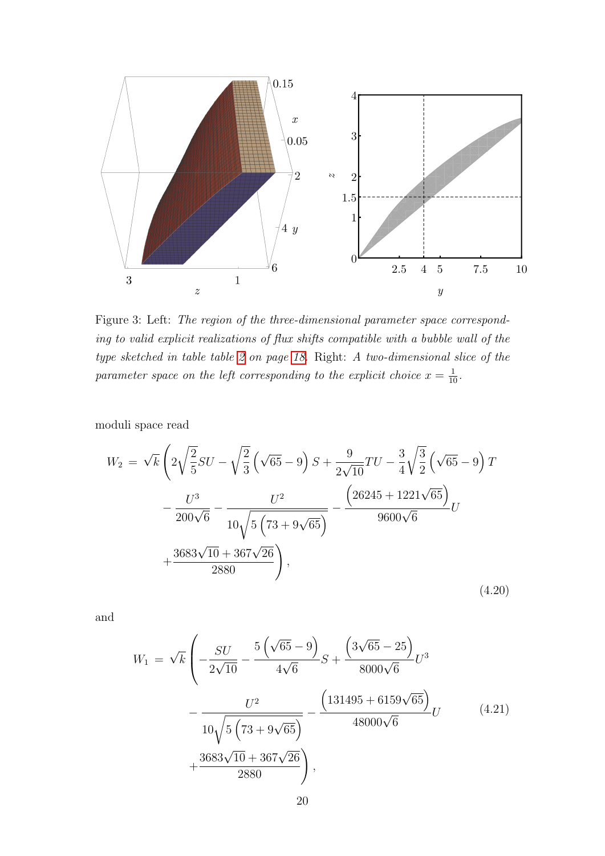

<span id="page-20-0"></span>Figure 3: Left: The region of the three-dimensional parameter space corresponding to valid explicit realizations of flux shifts compatible with a bubble wall of the type sketched in table table [2](#page-18-0) on page [18.](#page-18-0) Right: A two-dimensional slice of the parameter space on the left corresponding to the explicit choice  $x = \frac{1}{10}$ .

moduli space read

$$
W_2 = \sqrt{k} \left( 2\sqrt{\frac{2}{5}}SU - \sqrt{\frac{2}{3}} \left( \sqrt{65} - 9 \right) S + \frac{9}{2\sqrt{10}}TU - \frac{3}{4} \sqrt{\frac{3}{2}} \left( \sqrt{65} - 9 \right) T - \frac{U^3}{200\sqrt{6}} - \frac{U^2}{10\sqrt{5 \left( 73 + 9\sqrt{65} \right)}} - \frac{\left( 26245 + 1221\sqrt{65} \right)}{9600\sqrt{6}} U + \frac{3683\sqrt{10} + 367\sqrt{26}}{2880} \right),
$$
\n(4.20)

and

$$
W_1 = \sqrt{k} \left( -\frac{SU}{2\sqrt{10}} - \frac{5\left(\sqrt{65} - 9\right)}{4\sqrt{6}} S + \frac{\left(3\sqrt{65} - 25\right)}{8000\sqrt{6}} U^3 - \frac{U^2}{10\sqrt{5\left(73 + 9\sqrt{65}\right)}} - \frac{\left(131495 + 6159\sqrt{65}\right)}{48000\sqrt{6}} U + \frac{3683\sqrt{10} + 367\sqrt{26}}{2880} \right),
$$
\n(4.21)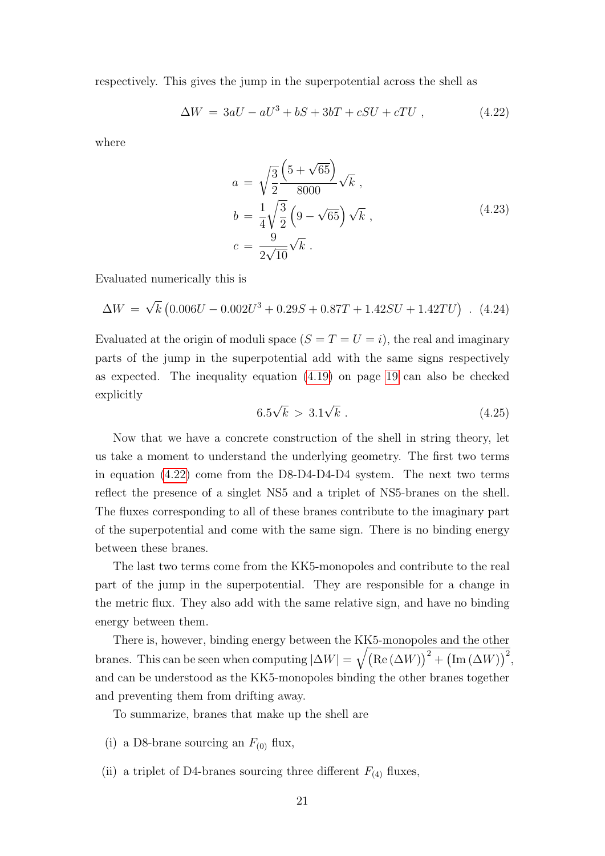respectively. This gives the jump in the superpotential across the shell as

$$
\Delta W = 3aU - aU^3 + bS + 3bT + cSU + cTU , \qquad (4.22)
$$

where

<span id="page-21-0"></span>
$$
a = \sqrt{\frac{3}{2}} \frac{\left(5 + \sqrt{65}\right)}{8000} \sqrt{k} ,
$$
  
\n
$$
b = \frac{1}{4} \sqrt{\frac{3}{2}} \left(9 - \sqrt{65}\right) \sqrt{k} ,
$$
  
\n
$$
c = \frac{9}{2\sqrt{10}} \sqrt{k} .
$$
\n(4.23)

Evaluated numerically this is

$$
\Delta W = \sqrt{k} \left( 0.006U - 0.002U^3 + 0.29S + 0.87T + 1.42SU + 1.42TU \right) . \tag{4.24}
$$

Evaluated at the origin of moduli space  $(S = T = U = i)$ , the real and imaginary parts of the jump in the superpotential add with the same signs respectively as expected. The inequality equation [\(4.19\)](#page-19-1) on page [19](#page-19-1) can also be checked explicitly √ √

$$
6.5\sqrt{k} > 3.1\sqrt{k} \,. \tag{4.25}
$$

Now that we have a concrete construction of the shell in string theory, let us take a moment to understand the underlying geometry. The first two terms in equation [\(4.22\)](#page-21-0) come from the D8-D4-D4-D4 system. The next two terms reflect the presence of a singlet NS5 and a triplet of NS5-branes on the shell. The fluxes corresponding to all of these branes contribute to the imaginary part of the superpotential and come with the same sign. There is no binding energy between these branes.

The last two terms come from the KK5-monopoles and contribute to the real part of the jump in the superpotential. They are responsible for a change in the metric flux. They also add with the same relative sign, and have no binding energy between them.

There is, however, binding energy between the KK5-monopoles and the other branes. This can be seen when computing  $|\Delta W| = \sqrt{\text{(Re}(\Delta W))^2 + \text{(Im}(\Delta W))^2}$ , and can be understood as the KK5-monopoles binding the other branes together and preventing them from drifting away.

To summarize, branes that make up the shell are

- (i) a D8-brane sourcing an  $F_{(0)}$  flux,
- (ii) a triplet of D4-branes sourcing three different  $F_{(4)}$  fluxes,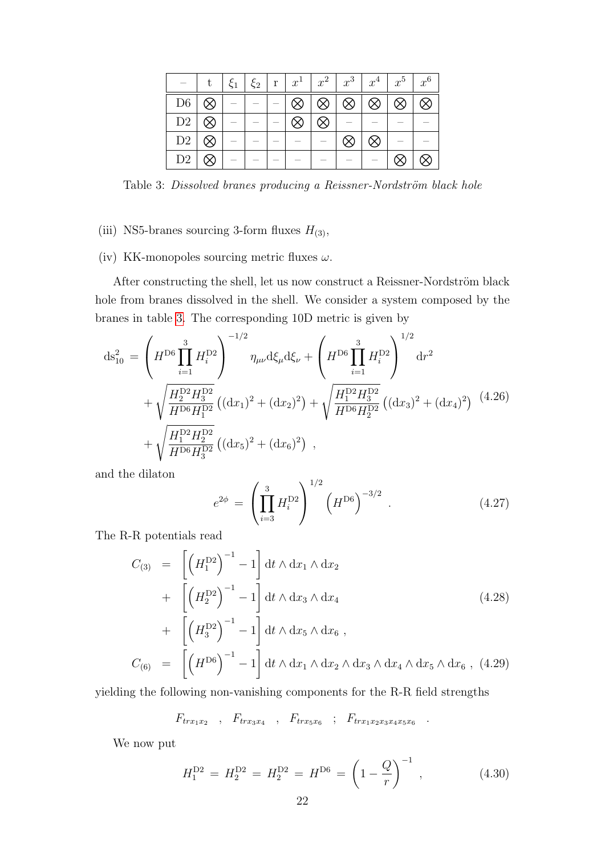|                |           | $+\xi_1$ + | $\xi_2$ |           |           | $\mathbf{r}$ $\mathbf{x}^1$ $\mathbf{x}^2$ $\mathbf{x}^3$ $\mathbf{x}^4$ $\mathbf{x}^5$ $\mathbf{x}^6$ |           |           |           |
|----------------|-----------|------------|---------|-----------|-----------|--------------------------------------------------------------------------------------------------------|-----------|-----------|-----------|
| D <sub>6</sub> |           |            |         | $\otimes$ | $\otimes$ | $\otimes$                                                                                              | $\otimes$ | $\otimes$ | $\otimes$ |
| D2             | $\otimes$ |            |         | $\otimes$ | $\otimes$ |                                                                                                        |           |           |           |
| D2             |           |            |         |           |           | $\otimes$                                                                                              | ⊗         |           |           |
| D <sub>2</sub> |           |            |         |           |           |                                                                                                        |           |           |           |

<span id="page-22-0"></span>Table 3: Dissolved branes producing a Reissner-Nordström black hole

#### (iii) NS5-branes sourcing 3-form fluxes  $H_{(3)}$ ,

(iv) KK-monopoles sourcing metric fluxes  $\omega$ .

After constructing the shell, let us now construct a Reissner-Nordström black hole from branes dissolved in the shell. We consider a system composed by the branes in table [3.](#page-22-0) The corresponding 10D metric is given by

$$
ds_{10}^{2} = \left(H^{D6} \prod_{i=1}^{3} H_{i}^{D2}\right)^{-1/2} \eta_{\mu\nu} d\xi_{\mu} d\xi_{\nu} + \left(H^{D6} \prod_{i=1}^{3} H_{i}^{D2}\right)^{1/2} dr^{2} + \sqrt{\frac{H_{2}^{D2} H_{3}^{D2}}{H^{D6} H_{1}^{D2}}} \left((dx_{1})^{2} + (dx_{2})^{2}\right) + \sqrt{\frac{H_{1}^{D2} H_{3}^{D2}}{H^{D6} H_{2}^{D2}}} \left((dx_{3})^{2} + (dx_{4})^{2}\right) (4.26) + \sqrt{\frac{H_{1}^{D2} H_{2}^{D2}}{H^{D6} H_{3}^{D2}}} \left((dx_{5})^{2} + (dx_{6})^{2}\right) ,
$$

and the dilaton

$$
e^{2\phi} = \left(\prod_{i=3}^{3} H_i^{\text{D2}}\right)^{1/2} \left(H^{\text{D6}}\right)^{-3/2} . \tag{4.27}
$$

The R-R potentials read

$$
C_{(3)} = \left[ \left( H_1^{\mathbf{D}2} \right)^{-1} - 1 \right] dt \wedge dx_1 \wedge dx_2
$$
  
+ 
$$
\left[ \left( H_2^{\mathbf{D}2} \right)^{-1} - 1 \right] dt \wedge dx_3 \wedge dx_4
$$
  
+ 
$$
\left[ \left( H_3^{\mathbf{D}2} \right)^{-1} - 1 \right] dt \wedge dx_5 \wedge dx_6 ,
$$
  

$$
C_{(6)} = \left[ \left( H^{\mathbf{D}6} \right)^{-1} - 1 \right] dt \wedge dx_1 \wedge dx_2 \wedge dx_3 \wedge dx_4 \wedge dx_5 \wedge dx_6 , (4.29)
$$

yielding the following non-vanishing components for the R-R field strengths

$$
F_{trx_1x_2} \quad , \quad F_{trx_3x_4} \quad , \quad F_{trx_5x_6} \quad ; \quad F_{trx_1x_2x_3x_4x_5x_6} \quad .
$$

We now put

$$
H_1^{\rm D2} = H_2^{\rm D2} = H_2^{\rm D2} = H^{\rm D6} = \left(1 - \frac{Q}{r}\right)^{-1},\tag{4.30}
$$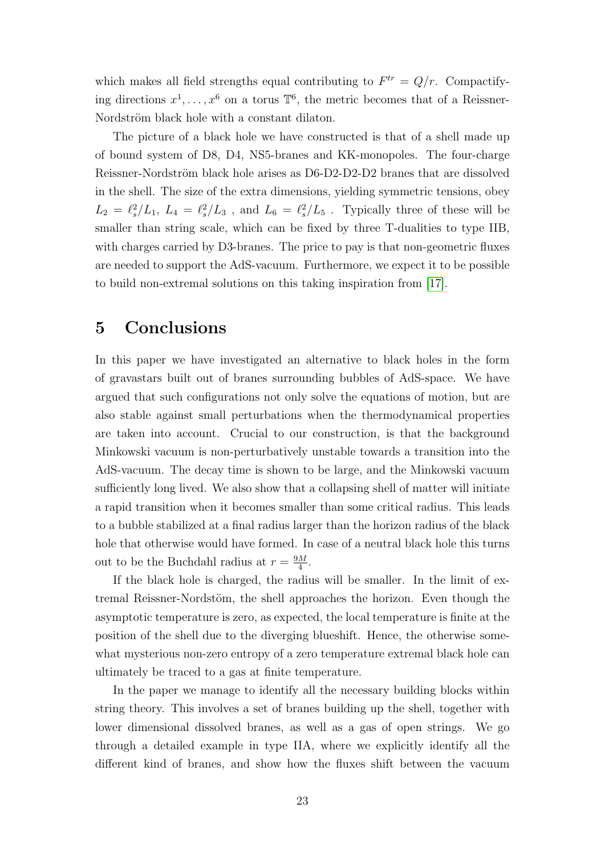which makes all field strengths equal contributing to  $F^{tr} = Q/r$ . Compactifying directions  $x^1, \ldots, x^6$  on a torus  $\mathbb{T}^6$ , the metric becomes that of a Reissner-Nordström black hole with a constant dilaton.

The picture of a black hole we have constructed is that of a shell made up of bound system of D8, D4, NS5-branes and KK-monopoles. The four-charge Reissner-Nordström black hole arises as D6-D2-D2-D2 branes that are dissolved in the shell. The size of the extra dimensions, yielding symmetric tensions, obey  $L_2 = \ell_s^2/L_1$ ,  $L_4 = \ell_s^2/L_3$ , and  $L_6 = \ell_s^2/L_5$ . Typically three of these will be smaller than string scale, which can be fixed by three T-dualities to type IIB, with charges carried by D3-branes. The price to pay is that non-geometric fluxes are needed to support the AdS-vacuum. Furthermore, we expect it to be possible to build non-extremal solutions on this taking inspiration from [\[17\]](#page-25-10).

#### <span id="page-23-0"></span>5 Conclusions

In this paper we have investigated an alternative to black holes in the form of gravastars built out of branes surrounding bubbles of AdS-space. We have argued that such configurations not only solve the equations of motion, but are also stable against small perturbations when the thermodynamical properties are taken into account. Crucial to our construction, is that the background Minkowski vacuum is non-perturbatively unstable towards a transition into the AdS-vacuum. The decay time is shown to be large, and the Minkowski vacuum sufficiently long lived. We also show that a collapsing shell of matter will initiate a rapid transition when it becomes smaller than some critical radius. This leads to a bubble stabilized at a final radius larger than the horizon radius of the black hole that otherwise would have formed. In case of a neutral black hole this turns out to be the Buchdahl radius at  $r = \frac{9M}{4}$  $\frac{M}{4}$ .

If the black hole is charged, the radius will be smaller. In the limit of extremal Reissner-Nordstöm, the shell approaches the horizon. Even though the asymptotic temperature is zero, as expected, the local temperature is finite at the position of the shell due to the diverging blueshift. Hence, the otherwise somewhat mysterious non-zero entropy of a zero temperature extremal black hole can ultimately be traced to a gas at finite temperature.

In the paper we manage to identify all the necessary building blocks within string theory. This involves a set of branes building up the shell, together with lower dimensional dissolved branes, as well as a gas of open strings. We go through a detailed example in type IIA, where we explicitly identify all the different kind of branes, and show how the fluxes shift between the vacuum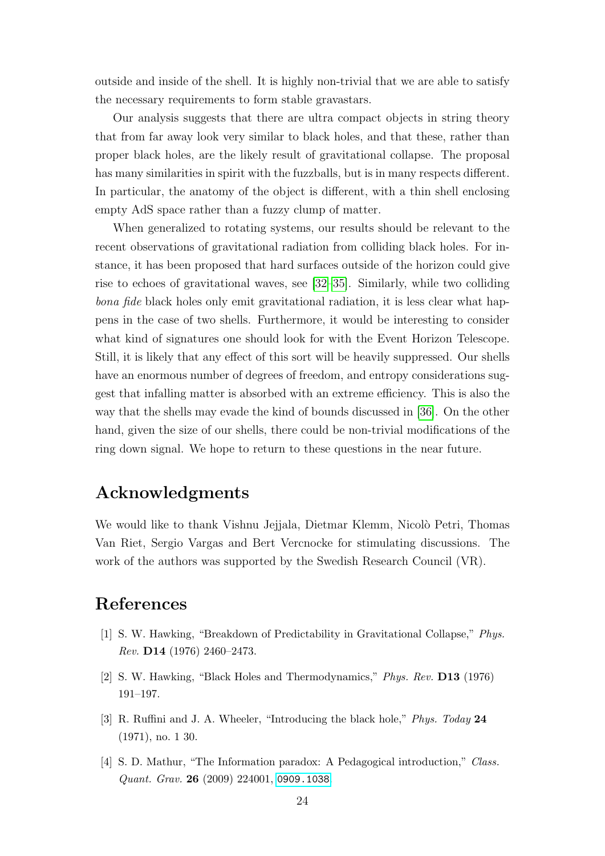outside and inside of the shell. It is highly non-trivial that we are able to satisfy the necessary requirements to form stable gravastars.

Our analysis suggests that there are ultra compact objects in string theory that from far away look very similar to black holes, and that these, rather than proper black holes, are the likely result of gravitational collapse. The proposal has many similarities in spirit with the fuzzballs, but is in many respects different. In particular, the anatomy of the object is different, with a thin shell enclosing empty AdS space rather than a fuzzy clump of matter.

When generalized to rotating systems, our results should be relevant to the recent observations of gravitational radiation from colliding black holes. For instance, it has been proposed that hard surfaces outside of the horizon could give rise to echoes of gravitational waves, see [\[32–](#page-26-11)[35\]](#page-27-0). Similarly, while two colliding bona fide black holes only emit gravitational radiation, it is less clear what happens in the case of two shells. Furthermore, it would be interesting to consider what kind of signatures one should look for with the Event Horizon Telescope. Still, it is likely that any effect of this sort will be heavily suppressed. Our shells have an enormous number of degrees of freedom, and entropy considerations suggest that infalling matter is absorbed with an extreme efficiency. This is also the way that the shells may evade the kind of bounds discussed in [\[36\]](#page-27-1). On the other hand, given the size of our shells, there could be non-trivial modifications of the ring down signal. We hope to return to these questions in the near future.

### Acknowledgments

We would like to thank Vishnu Jejjala, Dietmar Klemm, Nicolò Petri, Thomas Van Riet, Sergio Vargas and Bert Vercnocke for stimulating discussions. The work of the authors was supported by the Swedish Research Council (VR).

## References

- <span id="page-24-0"></span>[1] S. W. Hawking, "Breakdown of Predictability in Gravitational Collapse," Phys. Rev. D14 (1976) 2460–2473.
- <span id="page-24-1"></span>[2] S. W. Hawking, "Black Holes and Thermodynamics," Phys. Rev. D13 (1976) 191–197.
- <span id="page-24-2"></span>[3] R. Ruffini and J. A. Wheeler, "Introducing the black hole," Phys. Today 24 (1971), no. 1 30.
- <span id="page-24-3"></span>[4] S. D. Mathur, "The Information paradox: A Pedagogical introduction," Class. Quant. Grav. 26 (2009) 224001, [0909.1038](http://xxx.lanl.gov/abs/0909.1038).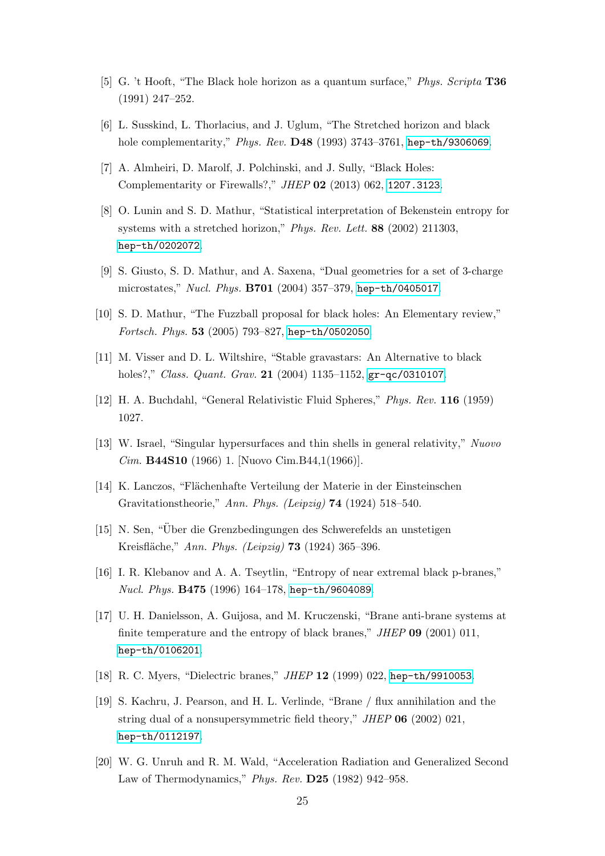- <span id="page-25-0"></span>[5] G. 't Hooft, "The Black hole horizon as a quantum surface," Phys. Scripta T36 (1991) 247–252.
- <span id="page-25-1"></span>[6] L. Susskind, L. Thorlacius, and J. Uglum, "The Stretched horizon and black hole complementarity," Phys. Rev. D48 (1993) 3743–3761, [hep-th/9306069](http://xxx.lanl.gov/abs/hep-th/9306069).
- <span id="page-25-2"></span>[7] A. Almheiri, D. Marolf, J. Polchinski, and J. Sully, "Black Holes: Complementarity or Firewalls?," JHEP 02 (2013) 062, [1207.3123](http://xxx.lanl.gov/abs/1207.3123).
- <span id="page-25-3"></span>[8] O. Lunin and S. D. Mathur, "Statistical interpretation of Bekenstein entropy for systems with a stretched horizon," Phys. Rev. Lett. 88 (2002) 211303, [hep-th/0202072](http://xxx.lanl.gov/abs/hep-th/0202072).
- [9] S. Giusto, S. D. Mathur, and A. Saxena, "Dual geometries for a set of 3-charge microstates," Nucl. Phys. B701 (2004) 357–379, [hep-th/0405017](http://xxx.lanl.gov/abs/hep-th/0405017).
- <span id="page-25-4"></span>[10] S. D. Mathur, "The Fuzzball proposal for black holes: An Elementary review," Fortsch. Phys. 53 (2005) 793–827, [hep-th/0502050](http://xxx.lanl.gov/abs/hep-th/0502050).
- <span id="page-25-5"></span>[11] M. Visser and D. L. Wiltshire, "Stable gravastars: An Alternative to black holes?," Class. Quant. Grav. 21 (2004) 1135-1152, [gr-qc/0310107](http://xxx.lanl.gov/abs/gr-qc/0310107).
- <span id="page-25-6"></span>[12] H. A. Buchdahl, "General Relativistic Fluid Spheres," Phys. Rev. 116 (1959) 1027.
- <span id="page-25-7"></span>[13] W. Israel, "Singular hypersurfaces and thin shells in general relativity," Nuovo Cim. B44S10 (1966) 1. [Nuovo Cim.B44,1(1966)].
- [14] K. Lanczos, "Flächenhafte Verteilung der Materie in der Einsteinschen Gravitationstheorie," Ann. Phys. (Leipzig) 74 (1924) 518–540.
- <span id="page-25-8"></span>[15] N. Sen, "Uber die Grenzbedingungen des Schwerefelds an unstetigen ¨ Kreisfläche," Ann. Phys. (Leipzig) **73** (1924) 365–396.
- <span id="page-25-9"></span>[16] I. R. Klebanov and A. A. Tseytlin, "Entropy of near extremal black p-branes," Nucl. Phys. **B475** (1996) 164-178, [hep-th/9604089](http://xxx.lanl.gov/abs/hep-th/9604089).
- <span id="page-25-10"></span>[17] U. H. Danielsson, A. Guijosa, and M. Kruczenski, "Brane anti-brane systems at finite temperature and the entropy of black branes,"  $JHEP$  09 (2001) 011, [hep-th/0106201](http://xxx.lanl.gov/abs/hep-th/0106201).
- <span id="page-25-11"></span>[18] R. C. Myers, "Dielectric branes," *JHEP* 12 (1999) 022, [hep-th/9910053](http://xxx.lanl.gov/abs/hep-th/9910053).
- <span id="page-25-12"></span>[19] S. Kachru, J. Pearson, and H. L. Verlinde, "Brane / flux annihilation and the string dual of a nonsupersymmetric field theory," JHEP 06 (2002) 021, [hep-th/0112197](http://xxx.lanl.gov/abs/hep-th/0112197).
- <span id="page-25-13"></span>[20] W. G. Unruh and R. M. Wald, "Acceleration Radiation and Generalized Second Law of Thermodynamics," Phys. Rev. D25 (1982) 942–958.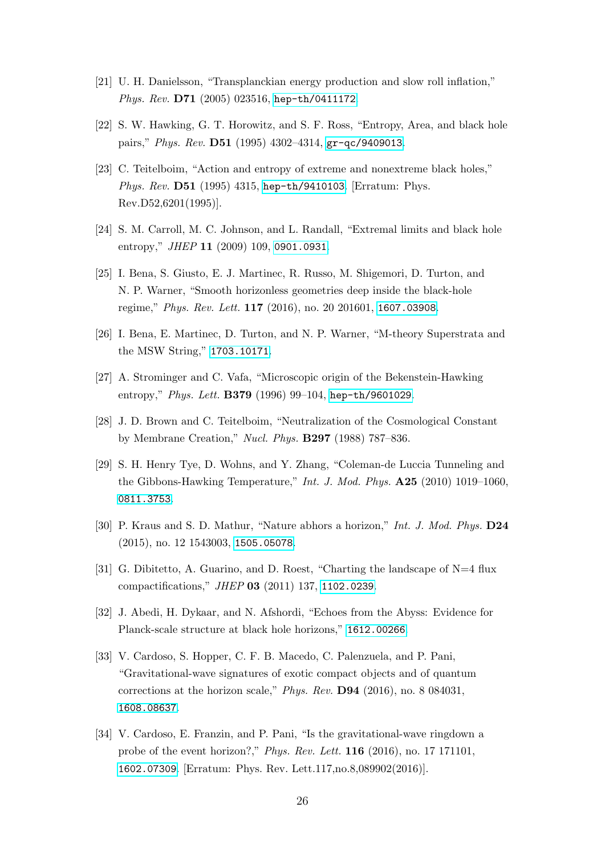- <span id="page-26-0"></span>[21] U. H. Danielsson, "Transplanckian energy production and slow roll inflation," Phys. Rev. D71 (2005) 023516, [hep-th/0411172](http://xxx.lanl.gov/abs/hep-th/0411172).
- <span id="page-26-1"></span>[22] S. W. Hawking, G. T. Horowitz, and S. F. Ross, "Entropy, Area, and black hole pairs," Phys. Rev. D51 (1995) 4302–4314, [gr-qc/9409013](http://xxx.lanl.gov/abs/gr-qc/9409013).
- <span id="page-26-2"></span>[23] C. Teitelboim, "Action and entropy of extreme and nonextreme black holes," Phys. Rev. D51 (1995) 4315, [hep-th/9410103](http://xxx.lanl.gov/abs/hep-th/9410103). [Erratum: Phys. Rev.D52,6201(1995)].
- <span id="page-26-3"></span>[24] S. M. Carroll, M. C. Johnson, and L. Randall, "Extremal limits and black hole entropy," *JHEP* **11** (2009) 109, [0901.0931](http://xxx.lanl.gov/abs/0901.0931).
- <span id="page-26-4"></span>[25] I. Bena, S. Giusto, E. J. Martinec, R. Russo, M. Shigemori, D. Turton, and N. P. Warner, "Smooth horizonless geometries deep inside the black-hole regime," Phys. Rev. Lett. 117 (2016), no. 20 201601, [1607.03908](http://xxx.lanl.gov/abs/1607.03908).
- <span id="page-26-5"></span>[26] I. Bena, E. Martinec, D. Turton, and N. P. Warner, "M-theory Superstrata and the MSW String," [1703.10171](http://xxx.lanl.gov/abs/1703.10171).
- <span id="page-26-6"></span>[27] A. Strominger and C. Vafa, "Microscopic origin of the Bekenstein-Hawking entropy," Phys. Lett. B379 (1996) 99-104, [hep-th/9601029](http://xxx.lanl.gov/abs/hep-th/9601029).
- <span id="page-26-7"></span>[28] J. D. Brown and C. Teitelboim, "Neutralization of the Cosmological Constant by Membrane Creation," Nucl. Phys. B297 (1988) 787–836.
- <span id="page-26-8"></span>[29] S. H. Henry Tye, D. Wohns, and Y. Zhang, "Coleman-de Luccia Tunneling and the Gibbons-Hawking Temperature," Int. J. Mod. Phys.  $\mathbf{A25}$  (2010) 1019–1060, [0811.3753](http://xxx.lanl.gov/abs/0811.3753).
- <span id="page-26-9"></span>[30] P. Kraus and S. D. Mathur, "Nature abhors a horizon," Int. J. Mod. Phys. D24 (2015), no. 12 1543003, [1505.05078](http://xxx.lanl.gov/abs/1505.05078).
- <span id="page-26-10"></span>[31] G. Dibitetto, A. Guarino, and D. Roest, "Charting the landscape of N=4 flux compactifications," JHEP 03 (2011) 137, [1102.0239](http://xxx.lanl.gov/abs/1102.0239).
- <span id="page-26-11"></span>[32] J. Abedi, H. Dykaar, and N. Afshordi, "Echoes from the Abyss: Evidence for Planck-scale structure at black hole horizons," [1612.00266](http://xxx.lanl.gov/abs/1612.00266).
- [33] V. Cardoso, S. Hopper, C. F. B. Macedo, C. Palenzuela, and P. Pani, "Gravitational-wave signatures of exotic compact objects and of quantum corrections at the horizon scale," Phys. Rev. D94 (2016), no. 8 084031, [1608.08637](http://xxx.lanl.gov/abs/1608.08637).
- [34] V. Cardoso, E. Franzin, and P. Pani, "Is the gravitational-wave ringdown a probe of the event horizon?," Phys. Rev. Lett. 116 (2016), no. 17 171101, [1602.07309](http://xxx.lanl.gov/abs/1602.07309). [Erratum: Phys. Rev. Lett.117,no.8,089902(2016)].